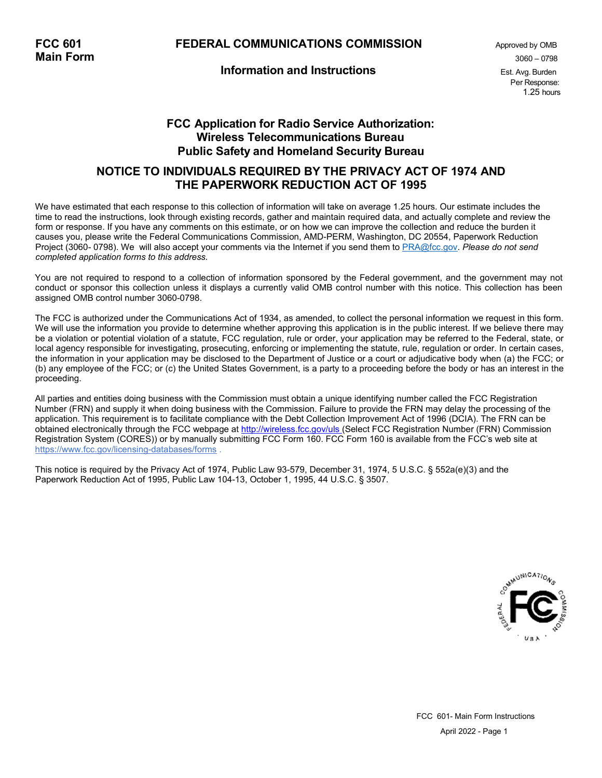# **FCC 601 FEDERAL COMMUNICATIONS COMMISSION** Approved by OMB **Main Form** 3060 – 0798

### **Information and Instructions** Est. Avg. Burden

Per Response: 1.25 hours

# **FCC Application for Radio Service Authorization: Wireless Telecommunications Bureau Public Safety and Homeland Security Bureau**

# **NOTICE TO INDIVIDUALS REQUIRED BY THE PRIVACY ACT OF 1974 AND THE PAPERWORK REDUCTION ACT OF 1995**

We have estimated that each response to this collection of information will take on average 1.25 hours. Our estimate includes the time to read the instructions, look through existing records, gather and maintain required data, and actually complete and review the form or response. If you have any comments on this estimate, or on how we can improve the collection and reduce the burden it causes you, please write the Federal Communications Commission, AMD-PERM, Washington, DC 20554, Paperwork Reduction Project (3060- 0798). We will also accept your comments via the Internet if you send them to [PRA@fcc.gov.](mailto:PRA@fcc.gov.) *Please do not send completed application forms to this address.*

You are not required to respond to a collection of information sponsored by the Federal government, and the government may not conduct or sponsor this collection unless it displays a currently valid OMB control number with this notice. This collection has been assigned OMB control number 3060-0798.

The FCC is authorized under the Communications Act of 1934, as amended, to collect the personal information we request in this form. We will use the information you provide to determine whether approving this application is in the public interest. If we believe there may be a violation or potential violation of a statute, FCC regulation, rule or order, your application may be referred to the Federal, state, or local agency responsible for investigating, prosecuting, enforcing or implementing the statute, rule, regulation or order. In certain cases, the information in your application may be disclosed to the Department of Justice or a court or adjudicative body when (a) the FCC; or (b) any employee of the FCC; or (c) the United States Government, is a party to a proceeding before the body or has an interest in the proceeding.

All parties and entities doing business with the Commission must obtain a unique identifying number called the FCC Registration Number (FRN) and supply it when doing business with the Commission. Failure to provide the FRN may delay the processing of the application. This requirement is to facilitate compliance with the Debt Collection Improvement Act of 1996 (DCIA). The FRN can be obtained electronically through the FCC webpage at [http://wireless.fcc.gov/uls \(](http://wireless.fcc.gov/uls)Select FCC Registration Number (FRN) Commission Registration System (CORES)) or by manually submitting FCC Form 160. FCC Form 160 is available from the FCC's web site at https:[//www.fcc.gov/licensing-databases/forms .](http://www.fcc.gov/licensing-databases/forms)

This notice is required by the Privacy Act of 1974, Public Law 93-579, December 31, 1974, 5 U.S.C. § 552a(e)(3) and the Paperwork Reduction Act of 1995, Public Law 104-13, October 1, 1995, 44 U.S.C. § 3507.

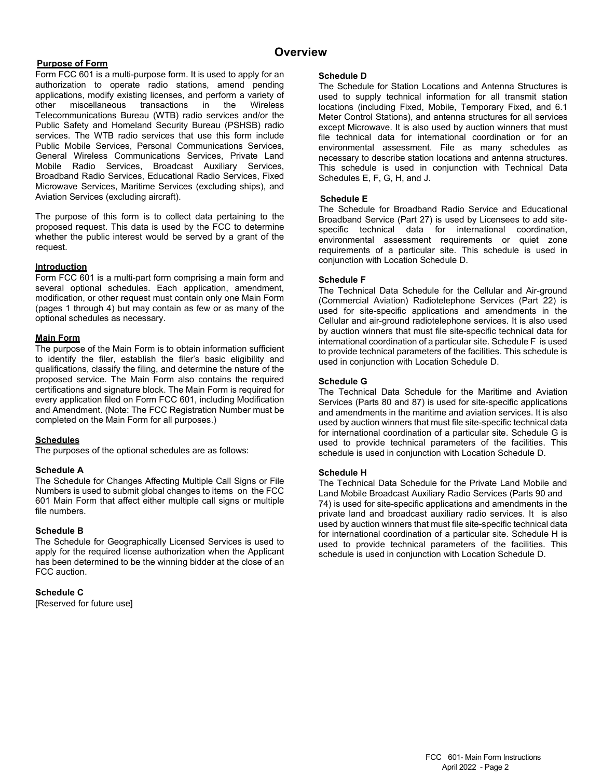# **Overview Purpose of Form**

Form FCC 601 is a multi-purpose form. It is used to apply for an authorization to operate radio stations, amend pending applications, modify existing licenses, and perform a variety of other miscellaneous transactions in Telecommunications Bureau (WTB) radio services and/or the Public Safety and Homeland Security Bureau (PSHSB) radio services. The WTB radio services that use this form include Public Mobile Services, Personal Communications Services, General Wireless Communications Services, Private Land Mobile Radio Services, Broadcast Auxiliary Services, Broadband Radio Services, Educational Radio Services, Fixed Microwave Services, Maritime Services (excluding ships), and Aviation Services (excluding aircraft).

The purpose of this form is to collect data pertaining to the proposed request. This data is used by the FCC to determine whether the public interest would be served by a grant of the request.

#### **Introduction**

Form FCC 601 is a multi-part form comprising a main form and several optional schedules. Each application, amendment, modification, or other request must contain only one Main Form (pages 1 through 4) but may contain as few or as many of the optional schedules as necessary.

#### **Main Form**

The purpose of the Main Form is to obtain information sufficient to identify the filer, establish the filer's basic eligibility and qualifications, classify the filing, and determine the nature of the proposed service. The Main Form also contains the required certifications and signature block. The Main Form is required for every application filed on Form FCC 601, including Modification and Amendment. (Note: The FCC Registration Number must be completed on the Main Form for all purposes.)

#### **Schedules**

The purposes of the optional schedules are as follows:

#### **Schedule A**

The Schedule for Changes Affecting Multiple Call Signs or File Numbers is used to submit global changes to items on the FCC 601 Main Form that affect either multiple call signs or multiple file numbers.

#### **Schedule B**

The Schedule for Geographically Licensed Services is used to apply for the required license authorization when the Applicant has been determined to be the winning bidder at the close of an FCC auction.

#### **Schedule C**

[Reserved for future use]

#### **Schedule D**

The Schedule for Station Locations and Antenna Structures is used to supply technical information for all transmit station locations (including Fixed, Mobile, Temporary Fixed, and 6.1 Meter Control Stations), and antenna structures for all services except Microwave. It is also used by auction winners that must file technical data for international coordination or for an environmental assessment. File as many schedules as necessary to describe station locations and antenna structures. This schedule is used in conjunction with Technical Data Schedules E, F, G, H, and J.

#### **Schedule E**

The Schedule for Broadband Radio Service and Educational Broadband Service (Part 27) is used by Licensees to add sitespecific technical data for international coordination, environmental assessment requirements or quiet zone requirements of a particular site. This schedule is used in conjunction with Location Schedule D.

#### **Schedule F**

The Technical Data Schedule for the Cellular and Air-ground (Commercial Aviation) Radiotelephone Services (Part 22) is used for site-specific applications and amendments in the Cellular and air-ground radiotelephone services. It is also used by auction winners that must file site-specific technical data for international coordination of a particular site. Schedule F is used to provide technical parameters of the facilities. This schedule is used in conjunction with Location Schedule D.

#### **Schedule G**

The Technical Data Schedule for the Maritime and Aviation Services (Parts 80 and 87) is used for site-specific applications and amendments in the maritime and aviation services. It is also used by auction winners that must file site-specific technical data for international coordination of a particular site. Schedule G is used to provide technical parameters of the facilities. This schedule is used in conjunction with Location Schedule D.

#### **Schedule H**

The Technical Data Schedule for the Private Land Mobile and Land Mobile Broadcast Auxiliary Radio Services (Parts 90 and 74) is used for site-specific applications and amendments in the private land and broadcast auxiliary radio services. It is also used by auction winners that must file site-specific technical data for international coordination of a particular site. Schedule H is used to provide technical parameters of the facilities. This schedule is used in conjunction with Location Schedule D.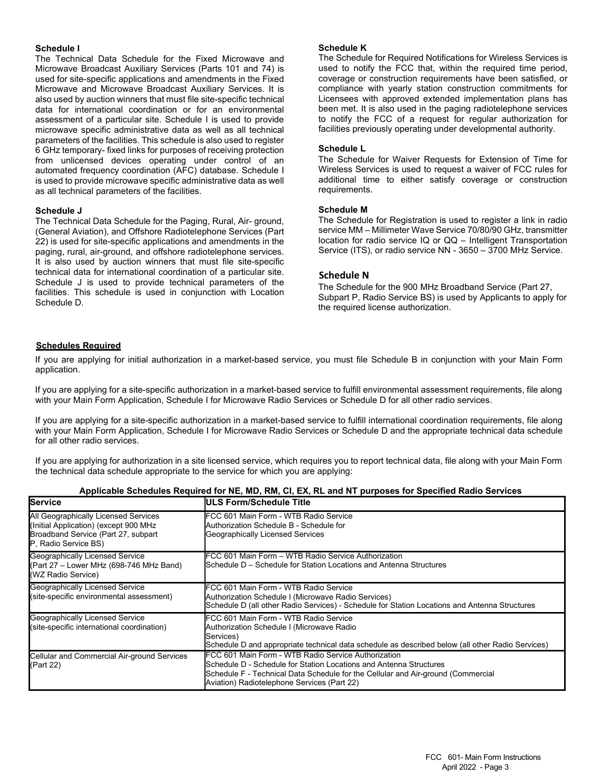#### **Schedule I**

The Technical Data Schedule for the Fixed Microwave and Microwave Broadcast Auxiliary Services (Parts 101 and 74) is used for site-specific applications and amendments in the Fixed Microwave and Microwave Broadcast Auxiliary Services. It is also used by auction winners that must file site-specific technical data for international coordination or for an environmental assessment of a particular site. Schedule I is used to provide microwave specific administrative data as well as all technical parameters of the facilities. This schedule is also used to register 6 GHz temporary- fixed links for purposes of receiving protection from unlicensed devices operating under control of an automated frequency coordination (AFC) database. Schedule I is used to provide microwave specific administrative data as well as all technical parameters of the facilities.

#### **Schedule J**

The Technical Data Schedule for the Paging, Rural, Air- ground, (General Aviation), and Offshore Radiotelephone Services (Part 22) is used for site-specific applications and amendments in the paging, rural, air-ground, and offshore radiotelephone services. It is also used by auction winners that must file site-specific technical data for international coordination of a particular site. Schedule J is used to provide technical parameters of the facilities. This schedule is used in conjunction with Location Schedule D.

#### **Schedule K**

The Schedule for Required Notifications for Wireless Services is used to notify the FCC that, within the required time period, coverage or construction requirements have been satisfied, or compliance with yearly station construction commitments for Licensees with approved extended implementation plans has been met. It is also used in the paging radiotelephone services to notify the FCC of a request for regular authorization for facilities previously operating under developmental authority.

#### **Schedule L**

The Schedule for Waiver Requests for Extension of Time for Wireless Services is used to request a waiver of FCC rules for additional time to either satisfy coverage or construction requirements.

#### **Schedule M**

The Schedule for Registration is used to register a link in radio service MM – Millimeter Wave Service 70/80/90 GHz, transmitter location for radio service IQ or QQ – Intelligent Transportation Service (ITS), or radio service NN - 3650 – 3700 MHz Service.

#### **Schedule N**

The Schedule for the 900 MHz Broadband Service (Part 27, Subpart P, Radio Service BS) is used by Applicants to apply for the required license authorization.

#### **Schedules Required**

If you are applying for initial authorization in a market-based service, you must file Schedule B in conjunction with your Main Form application.

If you are applying for a site-specific authorization in a market-based service to fulfill environmental assessment requirements, file along with your Main Form Application, Schedule I for Microwave Radio Services or Schedule D for all other radio services.

If you are applying for a site-specific authorization in a market-based service to fulfill international coordination requirements, file along with your Main Form Application, Schedule I for Microwave Radio Services or Schedule D and the appropriate technical data schedule for all other radio services.

If you are applying for authorization in a site licensed service, which requires you to report technical data, file along with your Main Form the technical data schedule appropriate to the service for which you are applying:

| <b>Service</b>                                                                                                                               | <b>ULS Form/Schedule Title</b>                                                                                                                                                                                                                               |
|----------------------------------------------------------------------------------------------------------------------------------------------|--------------------------------------------------------------------------------------------------------------------------------------------------------------------------------------------------------------------------------------------------------------|
| All Geographically Licensed Services<br>(Initial Application) (except 900 MHz<br>Broadband Service (Part 27, subpart<br>P. Radio Service BS) | FCC 601 Main Form - WTB Radio Service<br>Authorization Schedule B - Schedule for<br>Geographically Licensed Services                                                                                                                                         |
| Geographically Licensed Service<br>(Part 27 - Lower MHz (698-746 MHz Band)<br>(WZ Radio Service)                                             | FCC 601 Main Form – WTB Radio Service Authorization<br>Schedule D – Schedule for Station Locations and Antenna Structures                                                                                                                                    |
| Geographically Licensed Service<br>(site-specific environmental assessment)                                                                  | FCC 601 Main Form - WTB Radio Service<br>Authorization Schedule I (Microwave Radio Services)<br>Schedule D (all other Radio Services) - Schedule for Station Locations and Antenna Structures                                                                |
| Geographically Licensed Service<br>(site-specific international coordination)                                                                | FCC 601 Main Form - WTB Radio Service<br>Authorization Schedule I (Microwave Radio<br>Services)<br>(Schedule D and appropriate technical data schedule as described below (all other Radio Services)                                                         |
| Cellular and Commercial Air-ground Services<br>(Part 22)                                                                                     | FCC 601 Main Form - WTB Radio Service Authorization<br>Schedule D - Schedule for Station Locations and Antenna Structures<br>Schedule F - Technical Data Schedule for the Cellular and Air-ground (Commercial<br>Aviation) Radiotelephone Services (Part 22) |

#### **Applicable Schedules Required for NE, MD, RM, CI, EX, RL and NT purposes for Specified Radio Services**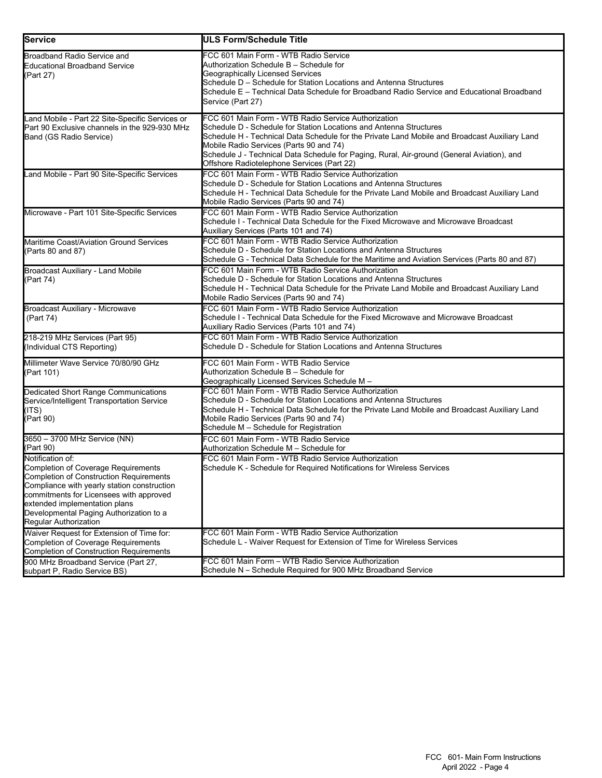| lService                                                                                                                                                                                                                                                                                                 | <b>ULS Form/Schedule Title</b>                                                                                                                                                                                                                                                                                                                                                                                    |
|----------------------------------------------------------------------------------------------------------------------------------------------------------------------------------------------------------------------------------------------------------------------------------------------------------|-------------------------------------------------------------------------------------------------------------------------------------------------------------------------------------------------------------------------------------------------------------------------------------------------------------------------------------------------------------------------------------------------------------------|
| Broadband Radio Service and<br><b>Educational Broadband Service</b><br>(Part 27)                                                                                                                                                                                                                         | FCC 601 Main Form - WTB Radio Service<br>Authorization Schedule B – Schedule for<br>Geographically Licensed Services<br>Schedule D - Schedule for Station Locations and Antenna Structures<br>Schedule E – Technical Data Schedule for Broadband Radio Service and Educational Broadband<br>Service (Part 27)                                                                                                     |
| Land Mobile - Part 22 Site-Specific Services or<br>Part 90 Exclusive channels in the 929-930 MHz<br>Band (GS Radio Service)                                                                                                                                                                              | FCC 601 Main Form - WTB Radio Service Authorization<br>Schedule D - Schedule for Station Locations and Antenna Structures<br>Schedule H - Technical Data Schedule for the Private Land Mobile and Broadcast Auxiliary Land<br>Mobile Radio Services (Parts 90 and 74)<br>Schedule J - Technical Data Schedule for Paging, Rural, Air-ground (General Aviation), and<br>Offshore Radiotelephone Services (Part 22) |
| Land Mobile - Part 90 Site-Specific Services                                                                                                                                                                                                                                                             | FCC 601 Main Form - WTB Radio Service Authorization<br>Schedule D - Schedule for Station Locations and Antenna Structures<br>Schedule H - Technical Data Schedule for the Private Land Mobile and Broadcast Auxiliary Land<br>Mobile Radio Services (Parts 90 and 74)                                                                                                                                             |
| Microwave - Part 101 Site-Specific Services                                                                                                                                                                                                                                                              | FCC 601 Main Form - WTB Radio Service Authorization<br>Schedule I - Technical Data Schedule for the Fixed Microwave and Microwave Broadcast<br>Auxiliary Services (Parts 101 and 74)                                                                                                                                                                                                                              |
| Maritime Coast/Aviation Ground Services<br>(Parts 80 and 87)                                                                                                                                                                                                                                             | FCC 601 Main Form - WTB Radio Service Authorization<br>Schedule D - Schedule for Station Locations and Antenna Structures<br>Schedule G - Technical Data Schedule for the Maritime and Aviation Services (Parts 80 and 87)                                                                                                                                                                                        |
| Broadcast Auxiliary - Land Mobile<br>(Part 74)                                                                                                                                                                                                                                                           | FCC 601 Main Form - WTB Radio Service Authorization<br>Schedule D - Schedule for Station Locations and Antenna Structures<br>Schedule H - Technical Data Schedule for the Private Land Mobile and Broadcast Auxiliary Land<br>Mobile Radio Services (Parts 90 and 74)                                                                                                                                             |
| <b>Broadcast Auxiliary - Microwave</b><br>(Part 74)                                                                                                                                                                                                                                                      | FCC 601 Main Form - WTB Radio Service Authorization<br>Schedule I - Technical Data Schedule for the Fixed Microwave and Microwave Broadcast<br>Auxiliary Radio Services (Parts 101 and 74)                                                                                                                                                                                                                        |
| 218-219 MHz Services (Part 95)<br>(Individual CTS Reporting)                                                                                                                                                                                                                                             | FCC 601 Main Form - WTB Radio Service Authorization<br>Schedule D - Schedule for Station Locations and Antenna Structures                                                                                                                                                                                                                                                                                         |
| Millimeter Wave Service 70/80/90 GHz<br>(Part 101)                                                                                                                                                                                                                                                       | FCC 601 Main Form - WTB Radio Service<br>Authorization Schedule B - Schedule for<br>Geographically Licensed Services Schedule M –                                                                                                                                                                                                                                                                                 |
| Dedicated Short Range Communications<br>Service/Intelligent Transportation Service<br>(ITS)<br>(Part 90)                                                                                                                                                                                                 | FCC 601 Main Form - WTB Radio Service Authorization<br>Schedule D - Schedule for Station Locations and Antenna Structures<br>Schedule H - Technical Data Schedule for the Private Land Mobile and Broadcast Auxiliary Land<br>Mobile Radio Services (Parts 90 and 74)<br>Schedule M - Schedule for Registration                                                                                                   |
| 3650 - 3700 MHz Service (NN)<br>(Part 90)                                                                                                                                                                                                                                                                | FCC 601 Main Form - WTB Radio Service<br>Authorization Schedule M - Schedule for                                                                                                                                                                                                                                                                                                                                  |
| Notification of:<br><b>Completion of Coverage Requirements</b><br>Completion of Construction Requirements<br>Compliance with yearly station construction<br>commitments for Licensees with approved<br>extended implementation plans<br>Developmental Paging Authorization to a<br>Regular Authorization | FCC 601 Main Form - WTB Radio Service Authorization<br>Schedule K - Schedule for Required Notifications for Wireless Services                                                                                                                                                                                                                                                                                     |
| Waiver Request for Extension of Time for:<br><b>Completion of Coverage Requirements</b><br><b>Completion of Construction Requirements</b>                                                                                                                                                                | FCC 601 Main Form - WTB Radio Service Authorization<br>Schedule L - Waiver Request for Extension of Time for Wireless Services                                                                                                                                                                                                                                                                                    |
| 900 MHz Broadband Service (Part 27,<br>subpart P, Radio Service BS)                                                                                                                                                                                                                                      | FCC 601 Main Form - WTB Radio Service Authorization<br>Schedule N - Schedule Required for 900 MHz Broadband Service                                                                                                                                                                                                                                                                                               |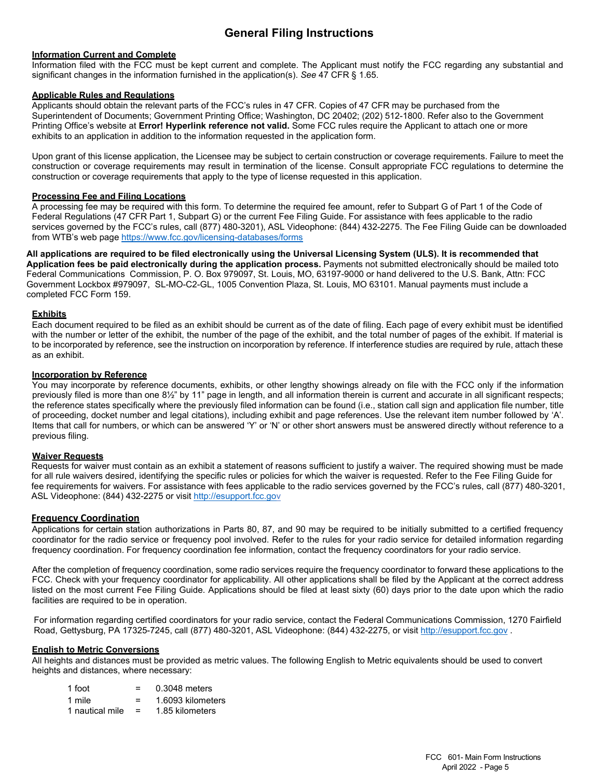# **General Filing Instructions**

#### **Information Current and Complete**

Information filed with the FCC must be kept current and complete. The Applicant must notify the FCC regarding any substantial and significant changes in the information furnished in the application(s). *See* 47 CFR § 1.65.

#### **Applicable Rules and Regulations**

Applicants should obtain the relevant parts of the FCC's rules in 47 CFR. Copies of 47 CFR may be purchased from the Superintendent of Documents; Government Printing Office; Washington, DC 20402; (202) 512-1800. Refer also to the Government Printing Office's website at **Error! Hyperlink reference not valid.** Some FCC rules require the Applicant to attach one or more exhibits to an application in addition to the information requested in the application form.

Upon grant of this license application, the Licensee may be subject to certain construction or coverage requirements. Failure to meet the construction or coverage requirements may result in termination of the license. Consult appropriate FCC regulations to determine the construction or coverage requirements that apply to the type of license requested in this application.

#### **Processing Fee and Filing Locations**

A processing fee may be required with this form. To determine the required fee amount, refer to Subpart G of Part 1 of the Code of Federal Regulations (47 CFR Part 1, Subpart G) or the current Fee Filing Guide. For assistance with fees applicable to the radio services governed by the FCC's rules, call (877) 480-3201), ASL Videophone: (844) 432-2275. The Fee Filing Guide can be downloaded from WTB's web page [https://www.fcc.gov/licensing-databases/forms](https://www.fcc.gov/licensing-databases/forms,)

**All applications are required to be filed electronically using the Universal Licensing System (ULS). It is recommended that Application fees be paid electronically during the application process.** Payments not submitted electronically should be mailed toto Federal Communications Commission, P. O. Box 979097, St. Louis, MO, 63197-9000 or hand delivered to the U.S. Bank, Attn: FCC Government Lockbox #979097, SL-MO-C2-GL, 1005 Convention Plaza, St. Louis, MO 63101. Manual payments must include a completed FCC Form 159.

#### **Exhibits**

Each document required to be filed as an exhibit should be current as of the date of filing. Each page of every exhibit must be identified with the number or letter of the exhibit, the number of the page of the exhibit, and the total number of pages of the exhibit. If material is to be incorporated by reference, see the instruction on incorporation by reference. If interference studies are required by rule, attach these as an exhibit.

#### **Incorporation by Reference**

You may incorporate by reference documents, exhibits, or other lengthy showings already on file with the FCC only if the information previously filed is more than one 8½" by 11" page in length, and all information therein is current and accurate in all significant respects; the reference states specifically where the previously filed information can be found (i.e., station call sign and application file number, title of proceeding, docket number and legal citations), including exhibit and page references. Use the relevant item number followed by 'A'. Items that call for numbers, or which can be answered 'Y' or 'N' or other short answers must be answered directly without reference to a previous filing.

#### **Waiver Requests**

 Requests for waiver must contain as an exhibit a statement of reasons sufficient to justify a waiver. The required showing must be made for all rule waivers desired, identifying the specific rules or policies for which the waiver is requested. Refer to the Fee Filing Guide for fee requirements for waivers. For assistance with fees applicable to the radio services governed by the FCC's rules, call (877) 480-3201, ASL Videophone: (844) 432-2275 or visit [http://esupport.fcc.gov](http://esupport.fcc.go/)

#### **Frequency Coordination**

Applications for certain station authorizations in Parts 80, 87, and 90 may be required to be initially submitted to a certified frequency coordinator for the radio service or frequency pool involved. Refer to the rules for your radio service for detailed information regarding frequency coordination. For frequency coordination fee information, contact the frequency coordinators for your radio service.

After the completion of frequency coordination, some radio services require the frequency coordinator to forward these applications to the FCC. Check with your frequency coordinator for applicability. All other applications shall be filed by the Applicant at the correct address listed on the most current Fee Filing Guide. Applications should be filed at least sixty (60) days prior to the date upon which the radio facilities are required to be in operation.

 For information regarding certified coordinators for your radio service, contact the Federal Communications Commission, 1270 Fairfield Road, Gettysburg, PA 17325-7245, call (877) 480-3201, ASL Videophone: (844) 432-2275, or visit [http://esupport.fcc.gov](http://esupport.fcc.gov/) .

#### **English to Metric Conversions**

All heights and distances must be provided as metric values. The following English to Metric equivalents should be used to convert heights and distances, where necessary:

| 1 foot          |     | 0.3048 meters     |
|-----------------|-----|-------------------|
| 1 mile          | =   | 1.6093 kilometers |
| 1 nautical mile | $=$ | 1.85 kilometers   |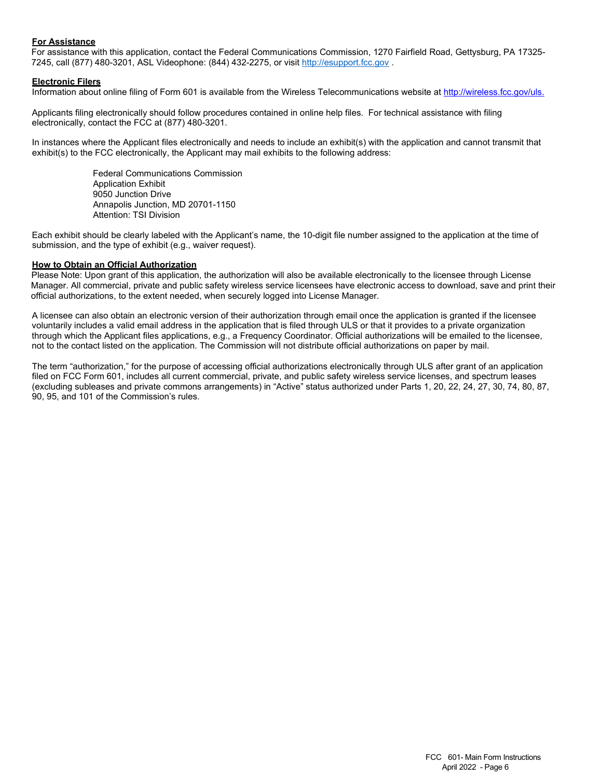#### **For Assistance**

 For assistance with this application, contact the Federal Communications Commission, 1270 Fairfield Road, Gettysburg, PA 17325- 7245, call (877) 480-3201, ASL Videophone: (844) 432-2275, or visit [http://esupport.fcc.gov](http://esupport.fcc.gov/) .

#### **Electronic Filers**

Information about online filing of Form 601 is available from the Wireless Telecommunications website at [http://wireless.fcc.gov/uls.](http://wireless.fcc.gov/uls)

Applicants filing electronically should follow procedures contained in online help files. For technical assistance with filing electronically, contact the FCC at (877) 480-3201.

In instances where the Applicant files electronically and needs to include an exhibit(s) with the application and cannot transmit that exhibit(s) to the FCC electronically, the Applicant may mail exhibits to the following address:

> Federal Communications Commission Application Exhibit 9050 Junction Drive Annapolis Junction, MD 20701-1150 Attention: TSI Division

Each exhibit should be clearly labeled with the Applicant's name, the 10-digit file number assigned to the application at the time of submission, and the type of exhibit (e.g., waiver request).

#### **How to Obtain an Official Authorization**

 Please Note: Upon grant of this application, the authorization will also be available electronically to the licensee through License Manager. All commercial, private and public safety wireless service licensees have electronic access to download, save and print their official authorizations, to the extent needed, when securely logged into License Manager.

A licensee can also obtain an electronic version of their authorization through email once the application is granted if the licensee voluntarily includes a valid email address in the application that is filed through ULS or that it provides to a private organization through which the Applicant files applications, e.g., a Frequency Coordinator. Official authorizations will be emailed to the licensee, not to the contact listed on the application. The Commission will not distribute official authorizations on paper by mail.

The term "authorization," for the purpose of accessing official authorizations electronically through ULS after grant of an application filed on FCC Form 601, includes all current commercial, private, and public safety wireless service licenses, and spectrum leases (excluding subleases and private commons arrangements) in "Active" status authorized under Parts 1, 20, 22, 24, 27, 30, 74, 80, 87, 90, 95, and 101 of the Commission's rules.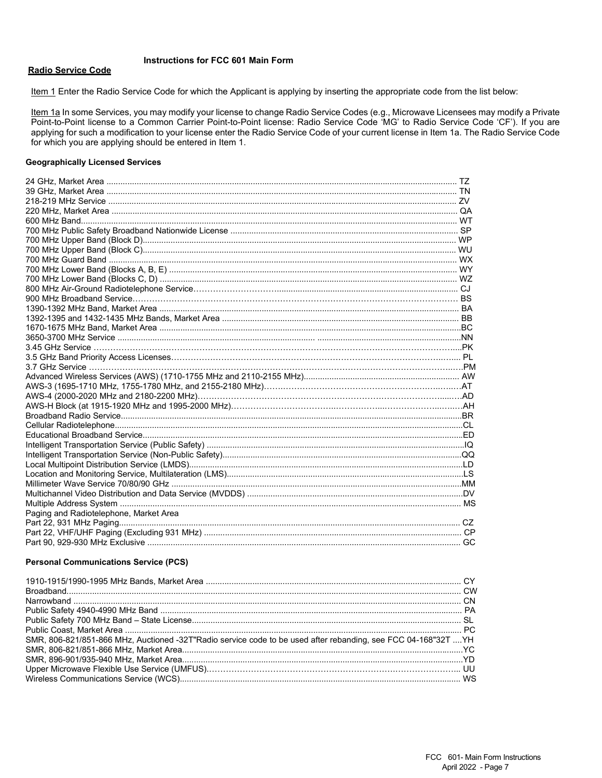#### **Instructions for FCC 601 Main Form**

#### **Radio Service Code**

Item 1 Enter the Radio Service Code for which the Applicant is applying by inserting the appropriate code from the list below:

Item 1a In some Services, you may modify your license to change Radio Service Codes (e.g., Microwave Licensees may modify a Private Point-to-Point license to a Common Carrier Point-to-Point license: Radio Service Code 'MG' to Radio Service Code 'CF'). If you are applying for such a modification to your license enter the Radio Service Code of your current license in Item 1a. The Radio Service Code for which you are applying should be entered in Item 1.

#### **Geographically Licensed Services**

| Paging and Radiotelephone, Market Area |  |
|----------------------------------------|--|
|                                        |  |
|                                        |  |
|                                        |  |

#### **Personal Communications Service (PCS)**

| SMR, 806-821/851-866 MHz, Auctioned -32T"Radio service code to be used after rebanding, see FCC 04-168"32T YH |  |
|---------------------------------------------------------------------------------------------------------------|--|
|                                                                                                               |  |
|                                                                                                               |  |
|                                                                                                               |  |
|                                                                                                               |  |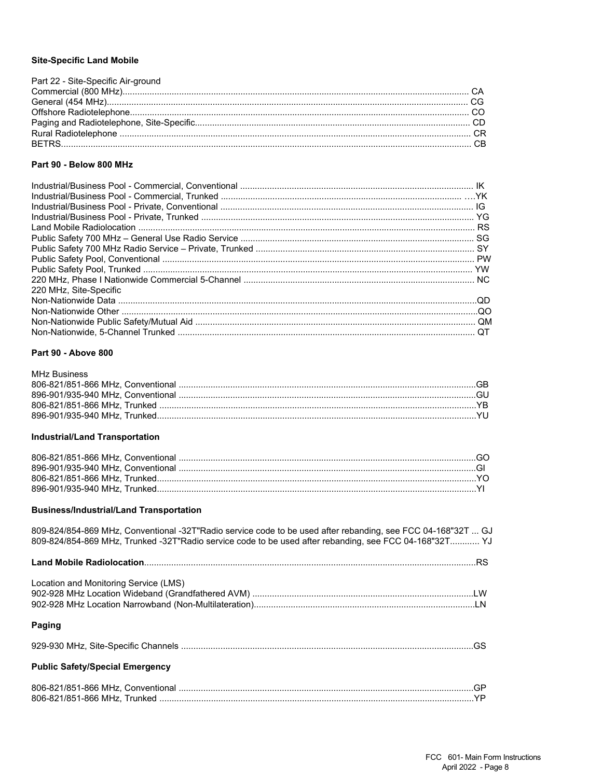#### **Site-Specific Land Mobile**

| Part 22 - Site-Specific Air-ground |  |
|------------------------------------|--|
|                                    |  |
|                                    |  |
|                                    |  |
|                                    |  |
|                                    |  |
|                                    |  |
|                                    |  |

#### Part 90 - Below 800 MHz

| 220 MHz. Site-Specific |  |
|------------------------|--|
|                        |  |
|                        |  |
|                        |  |
|                        |  |

#### Part 90 - Above 800

| MHz Business |  |
|--------------|--|
|              |  |
|              |  |
|              |  |
|              |  |
|              |  |

#### **Industrial/Land Transportation**

#### **Business/Industrial/Land Transportation**

| 809-824/854-869 MHz, Conventional -32T"Radio service code to be used after rebanding, see FCC 04-168"32T  GJ<br>809-824/854-869 MHz, Trunked -32T"Radio service code to be used after rebanding, see FCC 04-168"32T YJ |  |
|------------------------------------------------------------------------------------------------------------------------------------------------------------------------------------------------------------------------|--|
|                                                                                                                                                                                                                        |  |
| Location and Monitoring Service (LMS)                                                                                                                                                                                  |  |
| Paging                                                                                                                                                                                                                 |  |
|                                                                                                                                                                                                                        |  |
| <b>Public Safety/Special Emergency</b>                                                                                                                                                                                 |  |
|                                                                                                                                                                                                                        |  |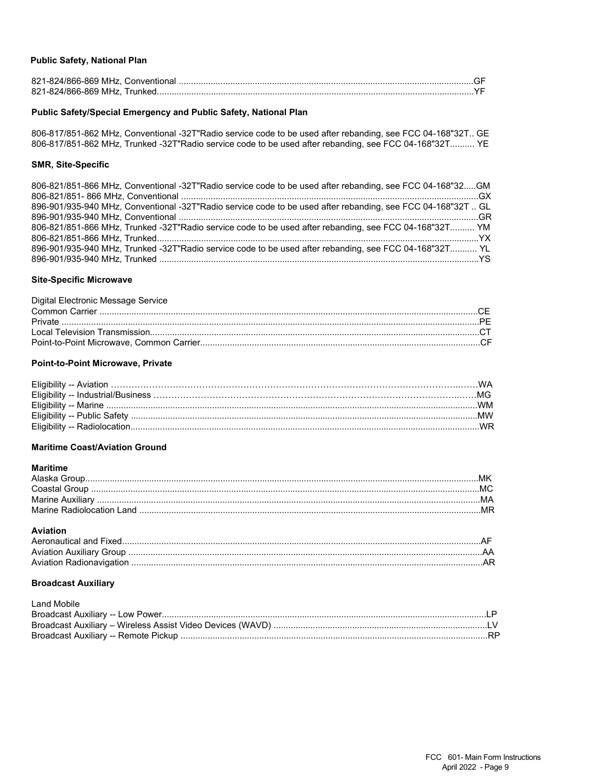#### **Public Safety, National Plan**

#### Public Safety/Special Emergency and Public Safety, National Plan

806-817/851-862 MHz, Conventional -32T"Radio service code to be used after rebanding, see FCC 04-168"32T.. GE 806-817/851-862 MHz, Trunked -32T"Radio service code to be used after rebanding, see FCC 04-168"32T.......... YE

#### **SMR, Site-Specific**

| 806-821/851-866 MHz, Conventional -32T"Radio service code to be used after rebanding, see FCC 04-168"32GM    |  |
|--------------------------------------------------------------------------------------------------------------|--|
|                                                                                                              |  |
| 896-901/935-940 MHz, Conventional -32T"Radio service code to be used after rebanding, see FCC 04-168"32T  GL |  |
|                                                                                                              |  |
| 806-821/851-866 MHz, Trunked -32T"Radio service code to be used after rebanding, see FCC 04-168"32T YM       |  |
|                                                                                                              |  |
| 896-901/935-940 MHz, Trunked -32T"Radio service code to be used after rebanding, see FCC 04-168"32T YL       |  |
|                                                                                                              |  |

#### **Site-Specific Microwave**

| Digital Electronic Message Service |  |
|------------------------------------|--|
|                                    |  |
|                                    |  |
|                                    |  |
|                                    |  |

#### Point-to-Point Microwave, Private

#### **Maritime Coast/Aviation Ground**

#### **Maritime**

#### **Aviation**

#### **Broadcast Auxiliary**

**Land Mobile**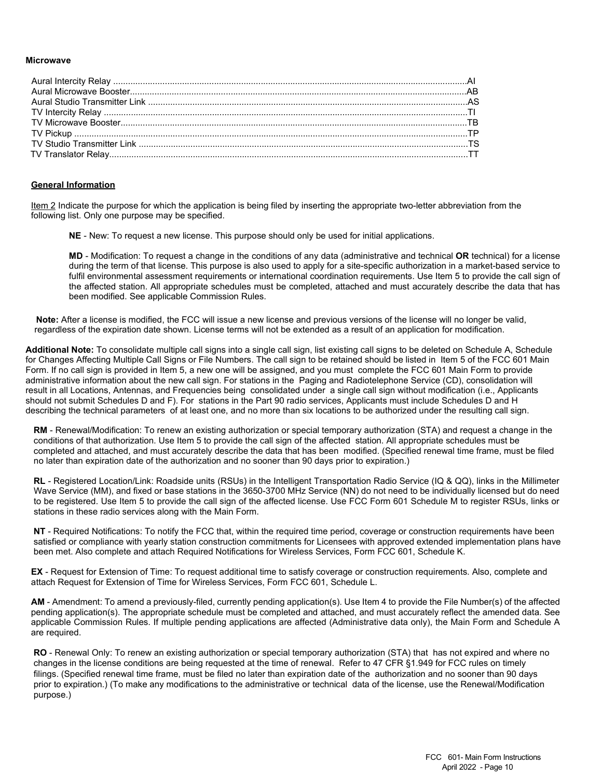#### **Microwave**

#### **General Information**

Item 2 Indicate the purpose for which the application is being filed by inserting the appropriate two-letter abbreviation from the following list. Only one purpose may be specified.

**NE** - New: To request a new license. This purpose should only be used for initial applications.

**MD** - Modification: To request a change in the conditions of any data (administrative and technical **OR** technical) for a license during the term of that license. This purpose is also used to apply for a site-specific authorization in a market-based service to fulfil environmental assessment requirements or international coordination requirements. Use Item 5 to provide the call sign of the affected station. All appropriate schedules must be completed, attached and must accurately describe the data that has been modified. See applicable Commission Rules.

 **Note:** After a license is modified, the FCC will issue a new license and previous versions of the license will no longer be valid, regardless of the expiration date shown. License terms will not be extended as a result of an application for modification.

**Additional Note:** To consolidate multiple call signs into a single call sign, list existing call signs to be deleted on Schedule A, Schedule for Changes Affecting Multiple Call Signs or File Numbers. The call sign to be retained should be listed in Item 5 of the FCC 601 Main Form. If no call sign is provided in Item 5, a new one will be assigned, and you must complete the FCC 601 Main Form to provide administrative information about the new call sign. For stations in the Paging and Radiotelephone Service (CD), consolidation will result in all Locations, Antennas, and Frequencies being consolidated under a single call sign without modification (i.e., Applicants should not submit Schedules D and F). For stations in the Part 90 radio services, Applicants must include Schedules D and H describing the technical parameters of at least one, and no more than six locations to be authorized under the resulting call sign.

**RM** - Renewal/Modification: To renew an existing authorization or special temporary authorization (STA) and request a change in the conditions of that authorization. Use Item 5 to provide the call sign of the affected station. All appropriate schedules must be completed and attached, and must accurately describe the data that has been modified. (Specified renewal time frame, must be filed no later than expiration date of the authorization and no sooner than 90 days prior to expiration.)

**RL** - Registered Location/Link: Roadside units (RSUs) in the Intelligent Transportation Radio Service (IQ & QQ), links in the Millimeter Wave Service (MM), and fixed or base stations in the 3650-3700 MHz Service (NN) do not need to be individually licensed but do need to be registered. Use Item 5 to provide the call sign of the affected license. Use FCC Form 601 Schedule M to register RSUs, links or stations in these radio services along with the Main Form.

**NT** - Required Notifications: To notify the FCC that, within the required time period, coverage or construction requirements have been satisfied or compliance with yearly station construction commitments for Licensees with approved extended implementation plans have been met. Also complete and attach Required Notifications for Wireless Services, Form FCC 601, Schedule K.

**EX** - Request for Extension of Time: To request additional time to satisfy coverage or construction requirements. Also, complete and attach Request for Extension of Time for Wireless Services, Form FCC 601, Schedule L.

**AM** - Amendment: To amend a previously-filed, currently pending application(s). Use Item 4 to provide the File Number(s) of the affected pending application(s). The appropriate schedule must be completed and attached, and must accurately reflect the amended data. See applicable Commission Rules. If multiple pending applications are affected (Administrative data only), the Main Form and Schedule A are required.

**RO** - Renewal Only: To renew an existing authorization or special temporary authorization (STA) that has not expired and where no changes in the license conditions are being requested at the time of renewal. Refer to 47 CFR §1.949 for FCC rules on timely filings. (Specified renewal time frame, must be filed no later than expiration date of the authorization and no sooner than 90 days prior to expiration.) (To make any modifications to the administrative or technical data of the license, use the Renewal/Modification purpose.)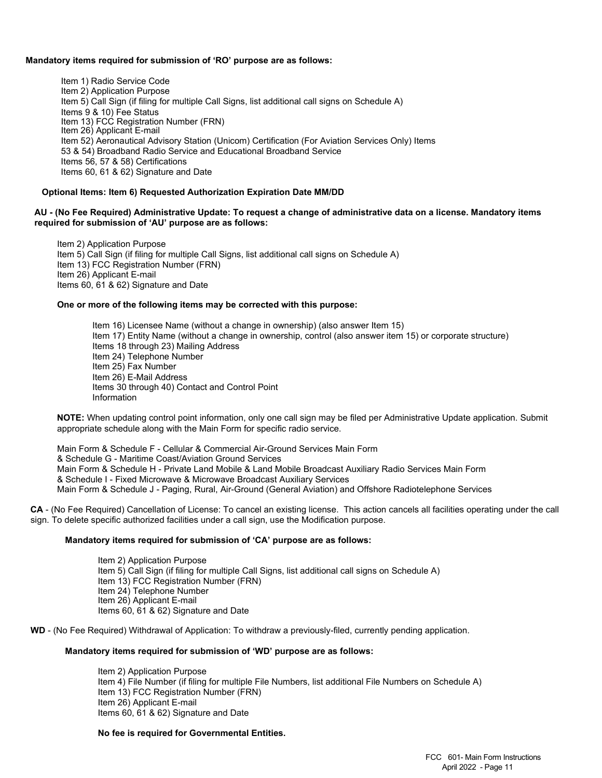#### **Mandatory items required for submission of 'RO' purpose are as follows:**

Item 1) Radio Service Code Item 2) Application Purpose Item 5) Call Sign (if filing for multiple Call Signs, list additional call signs on Schedule A) Items 9 & 10) Fee Status Item 13) FCC Registration Number (FRN) Item 26) Applicant E-mail Item 52) Aeronautical Advisory Station (Unicom) Certification (For Aviation Services Only) Items 53 & 54) Broadband Radio Service and Educational Broadband Service Items 56, 57 & 58) Certifications Items 60, 61 & 62) Signature and Date

#### **Optional Items: Item 6) Requested Authorization Expiration Date MM/DD**

#### **AU - (No Fee Required) Administrative Update: To request a change of administrative data on a license. Mandatory items required for submission of 'AU' purpose are as follows:**

Item 2) Application Purpose Item 5) Call Sign (if filing for multiple Call Signs, list additional call signs on Schedule A) Item 13) FCC Registration Number (FRN) Item 26) Applicant E-mail Items 60, 61 & 62) Signature and Date

#### **One or more of the following items may be corrected with this purpose:**

Item 16) Licensee Name (without a change in ownership) (also answer Item 15) Item 17) Entity Name (without a change in ownership, control (also answer item 15) or corporate structure) Items 18 through 23) Mailing Address Item 24) Telephone Number Item 25) Fax Number Item 26) E-Mail Address Items 30 through 40) Contact and Control Point Information

**NOTE:** When updating control point information, only one call sign may be filed per Administrative Update application. Submit appropriate schedule along with the Main Form for specific radio service.

Main Form & Schedule F - Cellular & Commercial Air-Ground Services Main Form & Schedule G - Maritime Coast/Aviation Ground Services Main Form & Schedule H - Private Land Mobile & Land Mobile Broadcast Auxiliary Radio Services Main Form & Schedule I - Fixed Microwave & Microwave Broadcast Auxiliary Services Main Form & Schedule J - Paging, Rural, Air-Ground (General Aviation) and Offshore Radiotelephone Services

**CA** - (No Fee Required) Cancellation of License: To cancel an existing license. This action cancels all facilities operating under the call sign. To delete specific authorized facilities under a call sign, use the Modification purpose.

#### **Mandatory items required for submission of 'CA' purpose are as follows:**

Item 2) Application Purpose Item 5) Call Sign (if filing for multiple Call Signs, list additional call signs on Schedule A) Item 13) FCC Registration Number (FRN) Item 24) Telephone Number Item 26) Applicant E-mail Items 60, 61 & 62) Signature and Date

**WD** - (No Fee Required) Withdrawal of Application: To withdraw a previously-filed, currently pending application.

#### **Mandatory items required for submission of 'WD' purpose are as follows:**

Item 2) Application Purpose Item 4) File Number (if filing for multiple File Numbers, list additional File Numbers on Schedule A) Item 13) FCC Registration Number (FRN) Item 26) Applicant E-mail Items 60, 61 & 62) Signature and Date

#### **No fee is required for Governmental Entities.**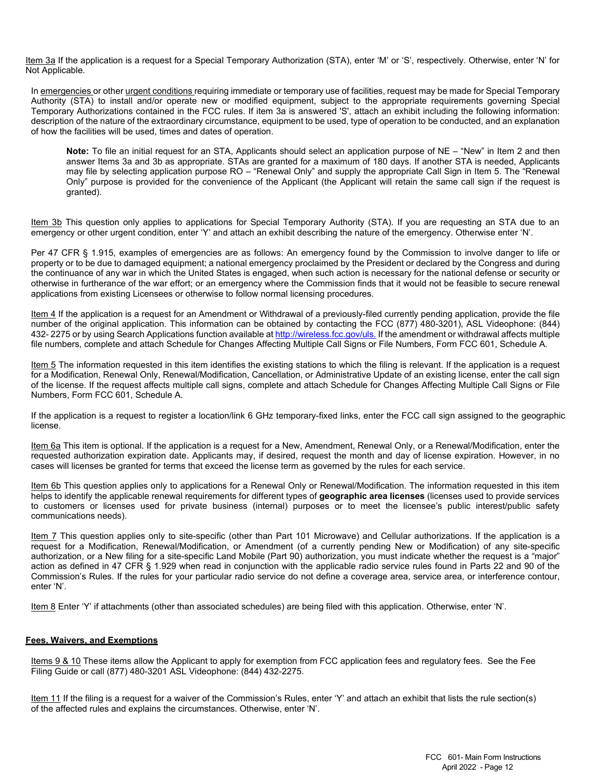Item 3a If the application is a request for a Special Temporary Authorization (STA), enter 'M' or 'S', respectively. Otherwise, enter 'N' for Not Applicable.

In emergencies or other urgent conditions requiring immediate or temporary use of facilities, request may be made for Special Temporary Authority (STA) to install and/or operate new or modified equipment, subject to the appropriate requirements governing Special Temporary Authorizations contained in the FCC rules. If item 3a is answered 'S', attach an exhibit including the following information: description of the nature of the extraordinary circumstance, equipment to be used, type of operation to be conducted, and an explanation of how the facilities will be used, times and dates of operation.

**Note:** To file an initial request for an STA, Applicants should select an application purpose of NE – "New" in Item 2 and then answer Items 3a and 3b as appropriate. STAs are granted for a maximum of 180 days. If another STA is needed, Applicants may file by selecting application purpose RO – "Renewal Only" and supply the appropriate Call Sign in Item 5. The "Renewal Only" purpose is provided for the convenience of the Applicant (the Applicant will retain the same call sign if the request is granted).

Item 3b This question only applies to applications for Special Temporary Authority (STA). If you are requesting an STA due to an emergency or other urgent condition, enter 'Y' and attach an exhibit describing the nature of the emergency. Otherwise enter 'N'.

Per 47 CFR § 1.915, examples of emergencies are as follows: An emergency found by the Commission to involve danger to life or property or to be due to damaged equipment; a national emergency proclaimed by the President or declared by the Congress and during the continuance of any war in which the United States is engaged, when such action is necessary for the national defense or security or otherwise in furtherance of the war effort; or an emergency where the Commission finds that it would not be feasible to secure renewal applications from existing Licensees or otherwise to follow normal licensing procedures.

Item 4 If the application is a request for an Amendment or Withdrawal of a previously-filed currently pending application, provide the file number of the original application. This information can be obtained by contacting the FCC (877) 480-3201), ASL Videophone: (844) 432- 2275 or by using Search Applications function available a[t http://wireless.fcc.gov/uls.](http://wireless.fcc.gov/uls) If the amendment or withdrawal affects multiple file numbers, complete and attach Schedule for Changes Affecting Multiple Call Signs or File Numbers, Form FCC 601, Schedule A.

Item 5 The information requested in this item identifies the existing stations to which the filing is relevant. If the application is a request for a Modification, Renewal Only, Renewal/Modification, Cancellation, or Administrative Update of an existing license, enter the call sign of the license. If the request affects multiple call signs, complete and attach Schedule for Changes Affecting Multiple Call Signs or File Numbers, Form FCC 601, Schedule A.

If the application is a request to register a location/link 6 GHz temporary-fixed links, enter the FCC call sign assigned to the geographic license.

Item 6a This item is optional. If the application is a request for a New, Amendment, Renewal Only, or a Renewal/Modification, enter the requested authorization expiration date. Applicants may, if desired, request the month and day of license expiration. However, in no cases will licenses be granted for terms that exceed the license term as governed by the rules for each service.

Item 6b This question applies only to applications for a Renewal Only or Renewal/Modification. The information requested in this item helps to identify the applicable renewal requirements for different types of **geographic area licenses** (licenses used to provide services to customers or licenses used for private business (internal) purposes or to meet the licensee's public interest/public safety communications needs).

Item 7 This question applies only to site-specific (other than Part 101 Microwave) and Cellular authorizations. If the application is a request for a Modification, Renewal/Modification, or Amendment (of a currently pending New or Modification) of any site-specific authorization, or a New filing for a site-specific Land Mobile (Part 90) authorization, you must indicate whether the request is a "major" action as defined in 47 CFR § 1.929 when read in conjunction with the applicable radio service rules found in Parts 22 and 90 of the Commission's Rules. If the rules for your particular radio service do not define a coverage area, service area, or interference contour, enter 'N'.

Item 8 Enter 'Y' if attachments (other than associated schedules) are being filed with this application. Otherwise, enter 'N'.

#### **Fees, Waivers, and Exemptions**

Items 9 & 10 These items allow the Applicant to apply for exemption from FCC application fees and regulatory fees. See the Fee Filing Guide or call (877) 480-3201 ASL Videophone: (844) 432-2275.

Item 11 If the filing is a request for a waiver of the Commission's Rules, enter 'Y' and attach an exhibit that lists the rule section(s) of the affected rules and explains the circumstances. Otherwise, enter 'N'.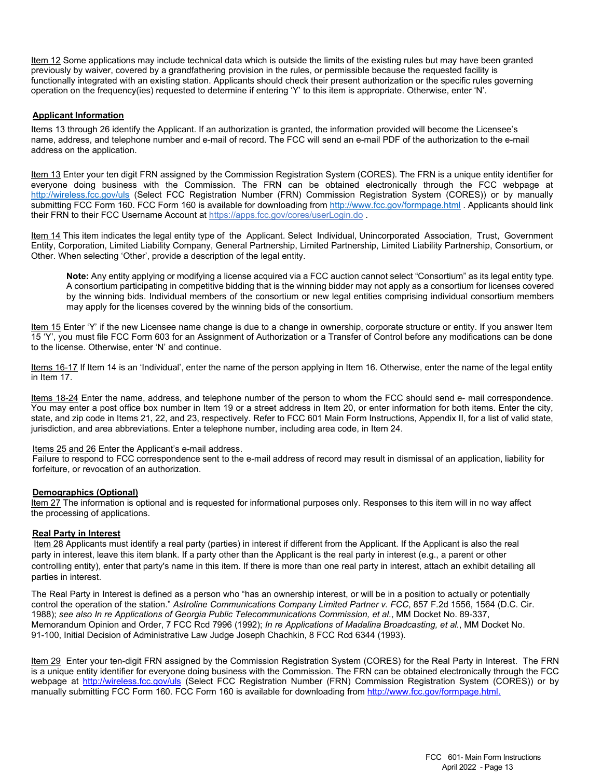Item 12 Some applications may include technical data which is outside the limits of the existing rules but may have been granted previously by waiver, covered by a grandfathering provision in the rules, or permissible because the requested facility is functionally integrated with an existing station. Applicants should check their present authorization or the specific rules governing operation on the frequency(ies) requested to determine if entering 'Y' to this item is appropriate. Otherwise, enter 'N'.

#### **Applicant Information**

Items 13 through 26 identify the Applicant. If an authorization is granted, the information provided will become the Licensee's name, address, and telephone number and e-mail of record. The FCC will send an e-mail PDF of the authorization to the e-mail address on the application.

Item 13 Enter your ten digit FRN assigned by the Commission Registration System (CORES). The FRN is a unique entity identifier for everyone doing business with the Commission. The FRN can be obtained electronically through the FCC webpage at <http://wireless.fcc.gov/uls> (Select FCC Registration Number (FRN) Commission Registration System (CORES)) or by manually submitting FCC Form 160. FCC Form 160 is available for downloading fro[m http://www.fcc.gov/formpage.html](http://www.fcc.gov/formpage.html) . Applicants should link their FRN to their FCC Username Account a[t https://apps.fcc.gov/cores/userLogin.do](https://apps.fcc.gov/cores/userLogin.do) .

Item 14 This item indicates the legal entity type of the Applicant. Select Individual, Unincorporated Association, Trust, Government Entity, Corporation, Limited Liability Company, General Partnership, Limited Partnership, Limited Liability Partnership, Consortium, or Other. When selecting 'Other', provide a description of the legal entity.

**Note:** Any entity applying or modifying a license acquired via a FCC auction cannot select "Consortium" as its legal entity type. A consortium participating in competitive bidding that is the winning bidder may not apply as a consortium for licenses covered by the winning bids. Individual members of the consortium or new legal entities comprising individual consortium members may apply for the licenses covered by the winning bids of the consortium.

Item 15 Enter 'Y' if the new Licensee name change is due to a change in ownership, corporate structure or entity. If you answer Item 15 'Y', you must file FCC Form 603 for an Assignment of Authorization or a Transfer of Control before any modifications can be done to the license. Otherwise, enter 'N' and continue.

Items 16-17 If Item 14 is an 'Individual', enter the name of the person applying in Item 16. Otherwise, enter the name of the legal entity in Item 17.

Items 18-24 Enter the name, address, and telephone number of the person to whom the FCC should send e- mail correspondence. You may enter a post office box number in Item 19 or a street address in Item 20, or enter information for both items. Enter the city, state, and zip code in Items 21, 22, and 23, respectively. Refer to FCC 601 Main Form Instructions, Appendix II, for a list of valid state, jurisdiction, and area abbreviations. Enter a telephone number, including area code, in Item 24.

#### Items 25 and 26 Enter the Applicant's e-mail address.

Failure to respond to FCC correspondence sent to the e-mail address of record may result in dismissal of an application, liability for forfeiture, or revocation of an authorization.

#### **Demographics (Optional)**

Item 27 The information is optional and is requested for informational purposes only. Responses to this item will in no way affect the processing of applications.

#### **Real Party in Interest**

Item 28 Applicants must identify a real party (parties) in interest if different from the Applicant. If the Applicant is also the real party in interest, leave this item blank. If a party other than the Applicant is the real party in interest (e.g., a parent or other controlling entity), enter that party's name in this item. If there is more than one real party in interest, attach an exhibit detailing all parties in interest.

The Real Party in Interest is defined as a person who "has an ownership interest, or will be in a position to actually or potentially control the operation of the station." *Astroline Communications Company Limited Partner v. FCC*, 857 F.2d 1556, 1564 (D.C. Cir. 1988); *see also In re Applications of Georgia Public Telecommunications Commission, et al.*, MM Docket No. 89-337, Memorandum Opinion and Order, 7 FCC Rcd 7996 (1992); *In re Applications of Madalina Broadcasting, et al.*, MM Docket No. 91-100, Initial Decision of Administrative Law Judge Joseph Chachkin, 8 FCC Rcd 6344 (1993).

Item 29 Enter your ten-digit FRN assigned by the Commission Registration System (CORES) for the Real Party in Interest. The FRN is a unique entity identifier for everyone doing business with the Commission. The FRN can be obtained electronically through the FCC webpage at<http://wireless.fcc.gov/uls> (Select FCC Registration Number (FRN) Commission Registration System (CORES)) or by manually submitting FCC Form 160. FCC Form 160 is available for downloading fro[m http://www.fcc.gov/formpage.html.](http://www.fcc.gov/formpage.html)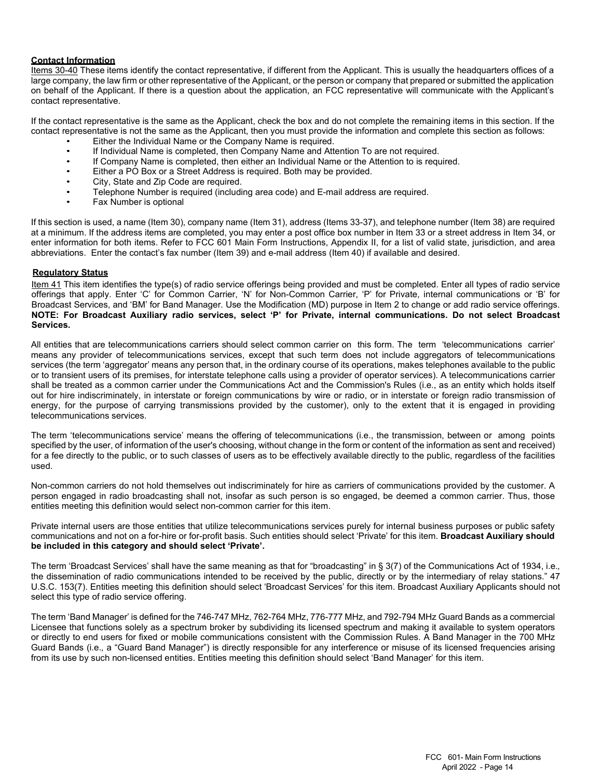#### **Contact Information**

Items 30-40 These items identify the contact representative, if different from the Applicant. This is usually the headquarters offices of a large company, the law firm or other representative of the Applicant, or the person or company that prepared or submitted the application on behalf of the Applicant. If there is a question about the application, an FCC representative will communicate with the Applicant's contact representative.

If the contact representative is the same as the Applicant, check the box and do not complete the remaining items in this section. If the contact representative is not the same as the Applicant, then you must provide the information and complete this section as follows:

- Either the Individual Name or the Company Name is required.
- If Individual Name is completed, then Company Name and Attention To are not required.<br>• If Company Name is completed, then either an Individual Name or the Attention to is requ
- If Company Name is completed, then either an Individual Name or the Attention to is required.
- Either a PO Box or a Street Address is required. Both may be provided.
- City, State and Zip Code are required.
- Telephone Number is required (including area code) and E-mail address are required.
- Fax Number is optional

If this section is used, a name (Item 30), company name (Item 31), address (Items 33-37), and telephone number (Item 38) are required at a minimum. If the address items are completed, you may enter a post office box number in Item 33 or a street address in Item 34, or enter information for both items. Refer to FCC 601 Main Form Instructions, Appendix II, for a list of valid state, jurisdiction, and area abbreviations. Enter the contact's fax number (Item 39) and e-mail address (Item 40) if available and desired.

#### **Regulatory Status**

Item 41 This item identifies the type(s) of radio service offerings being provided and must be completed. Enter all types of radio service offerings that apply. Enter 'C' for Common Carrier, 'N' for Non-Common Carrier, 'P' for Private, internal communications or 'B' for Broadcast Services, and 'BM' for Band Manager. Use the Modification (MD) purpose in Item 2 to change or add radio service offerings. **NOTE: For Broadcast Auxiliary radio services, select 'P' for Private, internal communications. Do not select Broadcast Services.**

All entities that are telecommunications carriers should select common carrier on this form. The term 'telecommunications carrier' means any provider of telecommunications services, except that such term does not include aggregators of telecommunications services (the term 'aggregator' means any person that, in the ordinary course of its operations, makes telephones available to the public or to transient users of its premises, for interstate telephone calls using a provider of operator services). A telecommunications carrier shall be treated as a common carrier under the Communications Act and the Commission's Rules (i.e., as an entity which holds itself out for hire indiscriminately, in interstate or foreign communications by wire or radio, or in interstate or foreign radio transmission of energy, for the purpose of carrying transmissions provided by the customer), only to the extent that it is engaged in providing telecommunications services.

The term 'telecommunications service' means the offering of telecommunications (i.e., the transmission, between or among points specified by the user, of information of the user's choosing, without change in the form or content of the information as sent and received) for a fee directly to the public, or to such classes of users as to be effectively available directly to the public, regardless of the facilities used.

Non-common carriers do not hold themselves out indiscriminately for hire as carriers of communications provided by the customer. A person engaged in radio broadcasting shall not, insofar as such person is so engaged, be deemed a common carrier. Thus, those entities meeting this definition would select non-common carrier for this item.

Private internal users are those entities that utilize telecommunications services purely for internal business purposes or public safety communications and not on a for-hire or for-profit basis. Such entities should select 'Private' for this item. **Broadcast Auxiliary should be included in this category and should select 'Private'.**

The term 'Broadcast Services' shall have the same meaning as that for "broadcasting" in § 3(7) of the Communications Act of 1934, i.e.*,*  the dissemination of radio communications intended to be received by the public, directly or by the intermediary of relay stations." 47 U.S.C. 153(7). Entities meeting this definition should select 'Broadcast Services' for this item. Broadcast Auxiliary Applicants should not select this type of radio service offering.

The term 'Band Manager' is defined for the 746-747 MHz, 762-764 MHz, 776-777 MHz, and 792-794 MHz Guard Bands as a commercial Licensee that functions solely as a spectrum broker by subdividing its licensed spectrum and making it available to system operators or directly to end users for fixed or mobile communications consistent with the Commission Rules. A Band Manager in the 700 MHz Guard Bands (i.e.*,* a "Guard Band Manager") is directly responsible for any interference or misuse of its licensed frequencies arising from its use by such non-licensed entities. Entities meeting this definition should select 'Band Manager' for this item.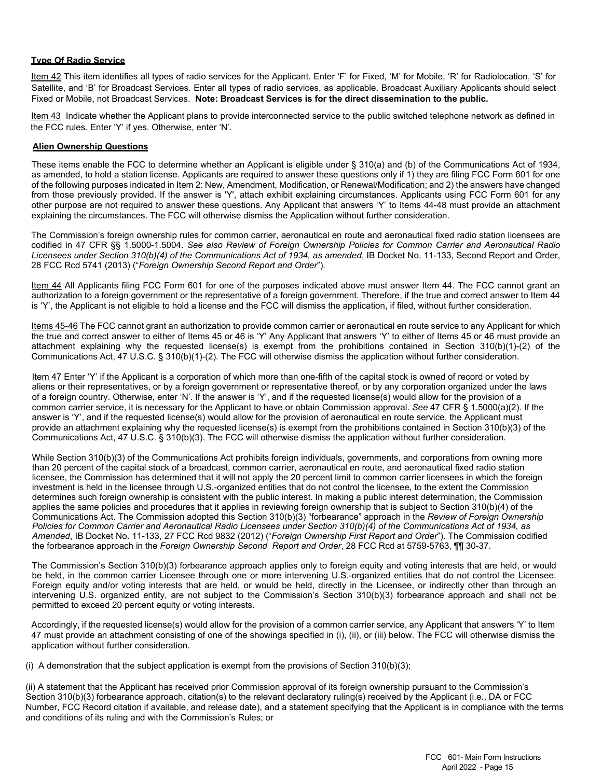#### **Type Of Radio Service**

Item 42 This item identifies all types of radio services for the Applicant. Enter 'F' for Fixed, 'M' for Mobile, 'R' for Radiolocation, 'S' for Satellite, and 'B' for Broadcast Services. Enter all types of radio services, as applicable. Broadcast Auxiliary Applicants should select Fixed or Mobile, not Broadcast Services. **Note: Broadcast Services is for the direct dissemination to the public.**

Item 43 Indicate whether the Applicant plans to provide interconnected service to the public switched telephone network as defined in the FCC rules. Enter 'Y' if yes. Otherwise, enter 'N'.

#### **Alien Ownership Questions**

These items enable the FCC to determine whether an Applicant is eligible under § 310(a) and (b) of the Communications Act of 1934, as amended, to hold a station license. Applicants are required to answer these questions only if 1) they are filing FCC Form 601 for one of the following purposes indicated in Item 2: New, Amendment, Modification, or Renewal/Modification; and 2) the answers have changed from those previously provided. If the answer is 'Y', attach exhibit explaining circumstances. Applicants using FCC Form 601 for any other purpose are not required to answer these questions. Any Applicant that answers 'Y' to Items 44-48 must provide an attachment explaining the circumstances. The FCC will otherwise dismiss the Application without further consideration.

The Commission's foreign ownership rules for common carrier, aeronautical en route and aeronautical fixed radio station licensees are codified in 47 CFR §§ 1.5000-1.5004. *See also Review of Foreign Ownership Policies for Common Carrier and Aeronautical Radio Licensees under Section 310(b)(4) of the Communications Act of 1934, as amended*, IB Docket No. 11-133, Second Report and Order, 28 FCC Rcd 5741 (2013) ("*Foreign Ownership Second Report and Order*").

Item 44 All Applicants filing FCC Form 601 for one of the purposes indicated above must answer Item 44. The FCC cannot grant an authorization to a foreign government or the representative of a foreign government. Therefore, if the true and correct answer to Item 44 is 'Y', the Applicant is not eligible to hold a license and the FCC will dismiss the application, if filed, without further consideration.

Items 45-46 The FCC cannot grant an authorization to provide common carrier or aeronautical en route service to any Applicant for which the true and correct answer to either of Items 45 or 46 is 'Y' Any Applicant that answers 'Y' to either of Items 45 or 46 must provide an attachment explaining why the requested license(s) is exempt from the prohibitions contained in Section 310(b)(1)-(2) of the Communications Act, 47 U.S.C. § 310(b)(1)-(2). The FCC will otherwise dismiss the application without further consideration.

Item 47 Enter 'Y' if the Applicant is a corporation of which more than one-fifth of the capital stock is owned of record or voted by aliens or their representatives, or by a foreign government or representative thereof, or by any corporation organized under the laws of a foreign country. Otherwise, enter 'N'. If the answer is 'Y', and if the requested license(s) would allow for the provision of a common carrier service, it is necessary for the Applicant to have or obtain Commission approval. *See* 47 CFR § 1.5000(a)(2). If the answer is 'Y', and if the requested license(s) would allow for the provision of aeronautical en route service, the Applicant must provide an attachment explaining why the requested license(s) is exempt from the prohibitions contained in Section 310(b)(3) of the Communications Act, 47 U.S.C. § 310(b)(3). The FCC will otherwise dismiss the application without further consideration.

While Section 310(b)(3) of the Communications Act prohibits foreign individuals, governments, and corporations from owning more than 20 percent of the capital stock of a broadcast, common carrier, aeronautical en route, and aeronautical fixed radio station licensee, the Commission has determined that it will not apply the 20 percent limit to common carrier licensees in which the foreign investment is held in the licensee through U.S.-organized entities that do not control the licensee, to the extent the Commission determines such foreign ownership is consistent with the public interest. In making a public interest determination, the Commission applies the same policies and procedures that it applies in reviewing foreign ownership that is subject to Section 310(b)(4) of the Communications Act. The Commission adopted this Section 310(b)(3) "forbearance" approach in the *Review of Foreign Ownership Policies for Common Carrier and Aeronautical Radio Licensees under Section 310(b)(4) of the Communications Act of 1934, as Amended*, IB Docket No. 11-133, 27 FCC Rcd 9832 (2012) ("*Foreign Ownership First Report and Order*"). The Commission codified the forbearance approach in the *Foreign Ownership Second Report and Order*, 28 FCC Rcd at 5759-5763, ¶¶ 30-37.

The Commission's Section 310(b)(3) forbearance approach applies only to foreign equity and voting interests that are held, or would be held, in the common carrier Licensee through one or more intervening U.S.-organized entities that do not control the Licensee. Foreign equity and/or voting interests that are held, or would be held, directly in the Licensee, or indirectly other than through an intervening U.S. organized entity, are not subject to the Commission's Section 310(b)(3) forbearance approach and shall not be permitted to exceed 20 percent equity or voting interests.

Accordingly, if the requested license(s) would allow for the provision of a common carrier service, any Applicant that answers 'Y' to Item 47 must provide an attachment consisting of one of the showings specified in (i), (ii), or (iii) below. The FCC will otherwise dismiss the application without further consideration.

(i) A demonstration that the subject application is exempt from the provisions of Section  $310(b)(3)$ ;

(ii) A statement that the Applicant has received prior Commission approval of its foreign ownership pursuant to the Commission's Section 310(b)(3) forbearance approach, citation(s) to the relevant declaratory ruling(s) received by the Applicant (i.e., DA or FCC Number, FCC Record citation if available, and release date), and a statement specifying that the Applicant is in compliance with the terms and conditions of its ruling and with the Commission's Rules; or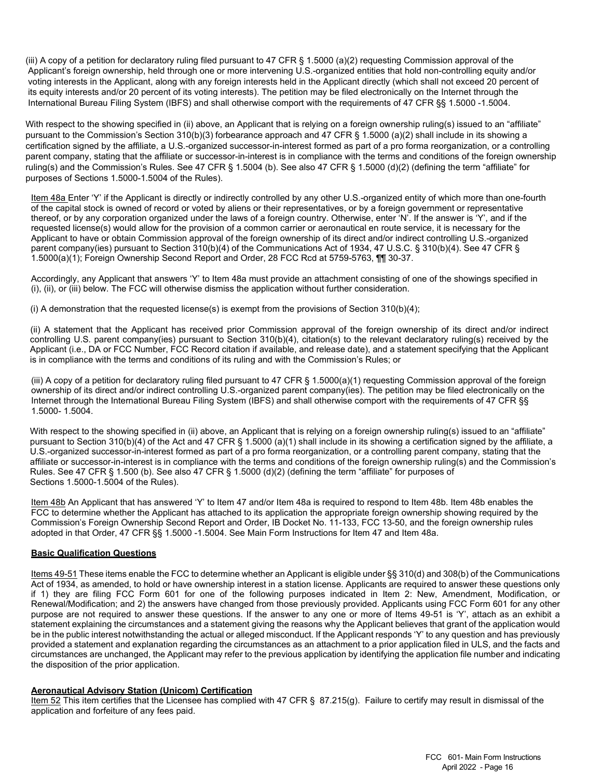(iii) A copy of a petition for declaratory ruling filed pursuant to 47 CFR  $\S$  1.5000 (a)(2) requesting Commission approval of the Applicant's foreign ownership, held through one or more intervening U.S.-organized entities that hold non-controlling equity and/or voting interests in the Applicant, along with any foreign interests held in the Applicant directly (which shall not exceed 20 percent of its equity interests and/or 20 percent of its voting interests). The petition may be filed electronically on the Internet through the International Bureau Filing System (IBFS) and shall otherwise comport with the requirements of 47 CFR §§ 1.5000 -1.5004.

With respect to the showing specified in (ii) above, an Applicant that is relying on a foreign ownership ruling(s) issued to an "affiliate" pursuant to the Commission's Section 310(b)(3) forbearance approach and 47 CFR § 1.5000 (a)(2) shall include in its showing a certification signed by the affiliate, a U.S.-organized successor-in-interest formed as part of a pro forma reorganization, or a controlling parent company, stating that the affiliate or successor-in-interest is in compliance with the terms and conditions of the foreign ownership ruling(s) and the Commission's Rules. See 47 CFR § 1.5004 (b). See also 47 CFR § 1.5000 (d)(2) (defining the term "affiliate" for purposes of Sections 1.5000-1.5004 of the Rules).

Item 48a Enter 'Y' if the Applicant is directly or indirectly controlled by any other U.S.-organized entity of which more than one-fourth of the capital stock is owned of record or voted by aliens or their representatives, or by a foreign government or representative thereof, or by any corporation organized under the laws of a foreign country. Otherwise, enter 'N'. If the answer is 'Y', and if the requested license(s) would allow for the provision of a common carrier or aeronautical en route service, it is necessary for the Applicant to have or obtain Commission approval of the foreign ownership of its direct and/or indirect controlling U.S.-organized parent company(ies) pursuant to Section 310(b)(4) of the Communications Act of 1934, 47 U.S.C. § 310(b)(4). See 47 CFR § 1.5000(a)(1); Foreign Ownership Second Report and Order, 28 FCC Rcd at 5759-5763, ¶¶ 30-37.

Accordingly, any Applicant that answers 'Y' to Item 48a must provide an attachment consisting of one of the showings specified in (i), (ii), or (iii) below. The FCC will otherwise dismiss the application without further consideration.

(i) A demonstration that the requested license(s) is exempt from the provisions of Section 310(b)(4);

 (ii) A statement that the Applicant has received prior Commission approval of the foreign ownership of its direct and/or indirect controlling U.S. parent company(ies) pursuant to Section 310(b)(4), citation(s) to the relevant declaratory ruling(s) received by the Applicant (i.e., DA or FCC Number, FCC Record citation if available, and release date), and a statement specifying that the Applicant is in compliance with the terms and conditions of its ruling and with the Commission's Rules; or

(iii) A copy of a petition for declaratory ruling filed pursuant to 47 CFR  $\S$  1.5000(a)(1) requesting Commission approval of the foreign ownership of its direct and/or indirect controlling U.S.-organized parent company(ies). The petition may be filed electronically on the Internet through the International Bureau Filing System (IBFS) and shall otherwise comport with the requirements of 47 CFR §§ 1.5000- 1.5004.

With respect to the showing specified in (ii) above, an Applicant that is relying on a foreign ownership ruling(s) issued to an "affiliate" pursuant to Section 310(b)(4) of the Act and 47 CFR § 1.5000 (a)(1) shall include in its showing a certification signed by the affiliate, a U.S.-organized successor-in-interest formed as part of a pro forma reorganization, or a controlling parent company, stating that the affiliate or successor-in-interest is in compliance with the terms and conditions of the foreign ownership ruling(s) and the Commission's Rules. See 47 CFR § 1.500 (b). See also 47 CFR § 1.5000 (d)(2) (defining the term "affiliate" for purposes of Sections 1.5000-1.5004 of the Rules).

Item 48b An Applicant that has answered 'Y' to Item 47 and/or Item 48a is required to respond to Item 48b. Item 48b enables the FCC to determine whether the Applicant has attached to its application the appropriate foreign ownership showing required by the Commission's Foreign Ownership Second Report and Order, IB Docket No. 11-133, FCC 13-50, and the foreign ownership rules adopted in that Order, 47 CFR §§ 1.5000 -1.5004. See Main Form Instructions for Item 47 and Item 48a.

#### **Basic Qualification Questions**

Items 49-51 These items enable the FCC to determine whether an Applicant is eligible under §§ 310(d) and 308(b) of the Communications Act of 1934, as amended, to hold or have ownership interest in a station license. Applicants are required to answer these questions only if 1) they are filing FCC Form 601 for one of the following purposes indicated in Item 2: New, Amendment, Modification, or Renewal/Modification; and 2) the answers have changed from those previously provided. Applicants using FCC Form 601 for any other purpose are not required to answer these questions. If the answer to any one or more of Items 49-51 is 'Y', attach as an exhibit a statement explaining the circumstances and a statement giving the reasons why the Applicant believes that grant of the application would be in the public interest notwithstanding the actual or alleged misconduct. If the Applicant responds 'Y' to any question and has previously provided a statement and explanation regarding the circumstances as an attachment to a prior application filed in ULS, and the facts and circumstances are unchanged, the Applicant may refer to the previous application by identifying the application file number and indicating the disposition of the prior application.

#### **Aeronautical Advisory Station (Unicom) Certification**

Item 52 This item certifies that the Licensee has complied with 47 CFR § 87.215(g). Failure to certify may result in dismissal of the application and forfeiture of any fees paid.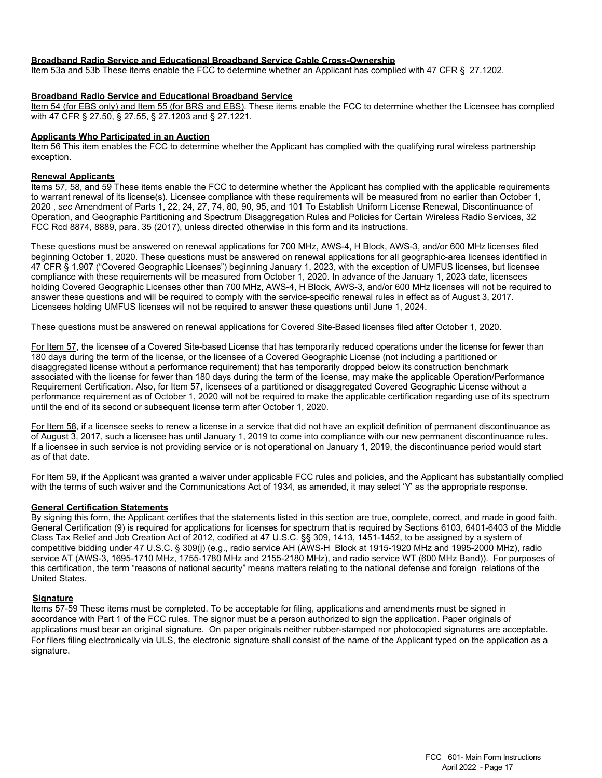#### **Broadband Radio Service and Educational Broadband Service Cable Cross-Ownership**

Item 53a and 53b These items enable the FCC to determine whether an Applicant has complied with 47 CFR § 27.1202.

#### **Broadband Radio Service and Educational Broadband Service**

Item 54 (for EBS only) and Item 55 (for BRS and EBS). These items enable the FCC to determine whether the Licensee has complied with 47 CFR § 27.50, § 27.55, § 27.1203 and § 27.1221.

#### **Applicants Who Participated in an Auction**

Item 56 This item enables the FCC to determine whether the Applicant has complied with the qualifying rural wireless partnership exception.

#### **Renewal Applicants**

Items 57, 58, and 59 These items enable the FCC to determine whether the Applicant has complied with the applicable requirements to warrant renewal of its license(s). Licensee compliance with these requirements will be measured from no earlier than October 1, 2020 , *see* Amendment of Parts 1, 22, 24, 27, 74, 80, 90, 95, and 101 To Establish Uniform License Renewal, Discontinuance of Operation, and Geographic Partitioning and Spectrum Disaggregation Rules and Policies for Certain Wireless Radio Services, 32 FCC Rcd 8874, 8889, para. 35 (2017), unless directed otherwise in this form and its instructions.

These questions must be answered on renewal applications for 700 MHz, AWS-4, H Block, AWS-3, and/or 600 MHz licenses filed beginning October 1, 2020. These questions must be answered on renewal applications for all geographic-area licenses identified in 47 CFR § 1.907 ("Covered Geographic Licenses") beginning January 1, 2023, with the exception of UMFUS licenses, but licensee compliance with these requirements will be measured from October 1, 2020. In advance of the January 1, 2023 date, licensees holding Covered Geographic Licenses other than 700 MHz, AWS-4, H Block, AWS-3, and/or 600 MHz licenses will not be required to answer these questions and will be required to comply with the service-specific renewal rules in effect as of August 3, 2017. Licensees holding UMFUS licenses will not be required to answer these questions until June 1, 2024.

These questions must be answered on renewal applications for Covered Site-Based licenses filed after October 1, 2020.

For Item 57, the licensee of a Covered Site-based License that has temporarily reduced operations under the license for fewer than 180 days during the term of the license, or the licensee of a Covered Geographic License (not including a partitioned or disaggregated license without a performance requirement) that has temporarily dropped below its construction benchmark associated with the license for fewer than 180 days during the term of the license, may make the applicable Operation/Performance Requirement Certification. Also, for Item 57, licensees of a partitioned or disaggregated Covered Geographic License without a performance requirement as of October 1, 2020 will not be required to make the applicable certification regarding use of its spectrum until the end of its second or subsequent license term after October 1, 2020.

For Item 58, if a licensee seeks to renew a license in a service that did not have an explicit definition of permanent discontinuance as of August 3, 2017, such a licensee has until January 1, 2019 to come into compliance with our new permanent discontinuance rules. If a licensee in such service is not providing service or is not operational on January 1, 2019, the discontinuance period would start as of that date.

For Item 59, if the Applicant was granted a waiver under applicable FCC rules and policies, and the Applicant has substantially complied with the terms of such waiver and the Communications Act of 1934, as amended, it may select 'Y' as the appropriate response.

#### **General Certification Statements**

By signing this form, the Applicant certifies that the statements listed in this section are true, complete, correct, and made in good faith. General Certification (9) is required for applications for licenses for spectrum that is required by Sections 6103, 6401-6403 of the Middle Class Tax Relief and Job Creation Act of 2012, codified at 47 U.S.C. §§ 309, 1413, 1451-1452, to be assigned by a system of competitive bidding under 47 U.S.C. § 309(j) (e.g., radio service AH (AWS-H Block at 1915-1920 MHz and 1995-2000 MHz), radio service AT (AWS-3, 1695-1710 MHz, 1755-1780 MHz and 2155-2180 MHz), and radio service WT (600 MHz Band)). For purposes of this certification, the term "reasons of national security" means matters relating to the national defense and foreign relations of the United States.

#### **Signature**

Items 57-59 These items must be completed. To be acceptable for filing, applications and amendments must be signed in accordance with Part 1 of the FCC rules. The signor must be a person authorized to sign the application. Paper originals of applications must bear an original signature. On paper originals neither rubber-stamped nor photocopied signatures are acceptable. For filers filing electronically via ULS, the electronic signature shall consist of the name of the Applicant typed on the application as a signature.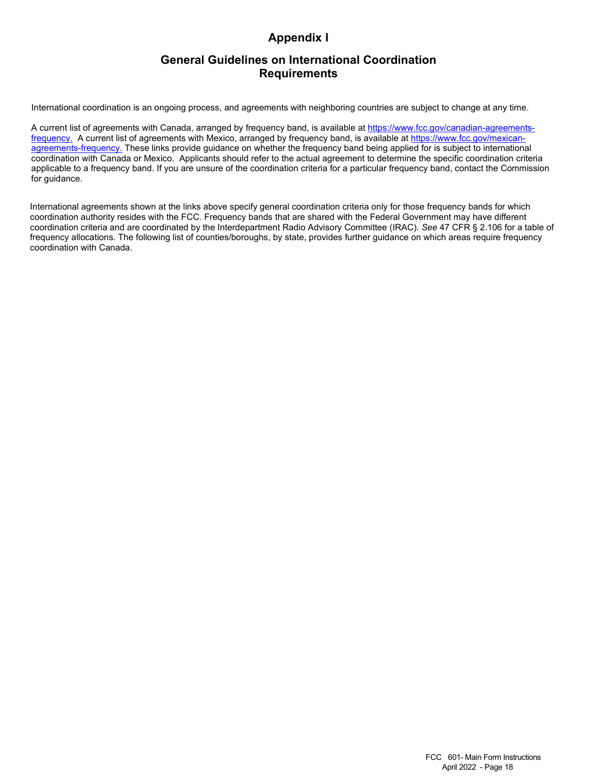# **Appendix I**

# **General Guidelines on International Coordination Requirements**

International coordination is an ongoing process, and agreements with neighboring countries are subject to change at any time.

A current list of agreements with Canada, arranged by frequency band, is available at [https://www.fcc.gov/canadian-agreements](https://www.fcc.gov/canadian-agreements-frequency)[frequency.](https://www.fcc.gov/canadian-agreements-frequency) A current list of agreements with Mexico, arranged by frequency band, is available at [https://www.fcc.gov/mexican](https://www.fcc.gov/mexican-agreements-frequency)[agreements-frequency.](https://www.fcc.gov/mexican-agreements-frequency) These links provide guidance on whether the frequency band being applied for is subject to international coordination with Canada or Mexico. Applicants should refer to the actual agreement to determine the specific coordination criteria applicable to a frequency band. If you are unsure of the coordination criteria for a particular frequency band, contact the Commission for guidance.

International agreements shown at the links above specify general coordination criteria only for those frequency bands for which coordination authority resides with the FCC. Frequency bands that are shared with the Federal Government may have different coordination criteria and are coordinated by the Interdepartment Radio Advisory Committee (IRAC). *See* 47 CFR § 2.106 for a table of frequency allocations. The following list of counties/boroughs, by state, provides further guidance on which areas require frequency coordination with Canada.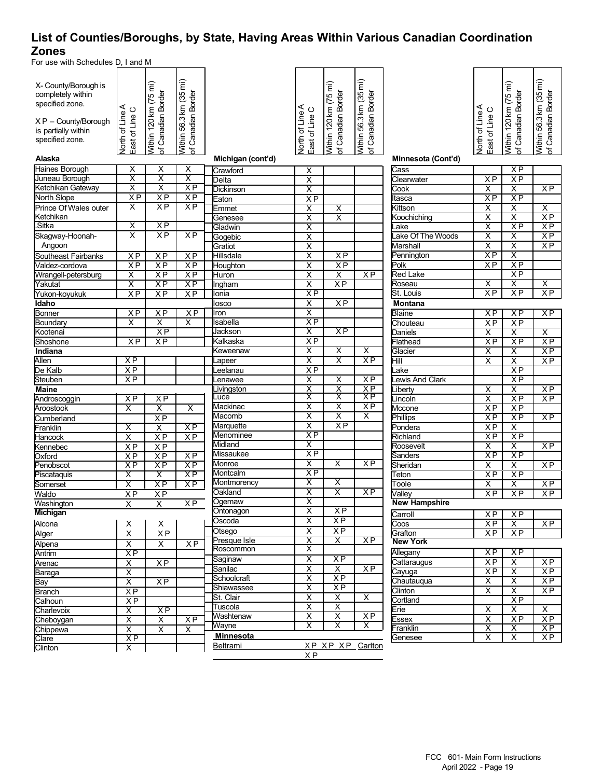# **List of Counties/Boroughs, by State, Having Areas Within Various Canadian Coordination Zones**

For use with Schedules D, I and M

| X- County/Borough is<br>completely within<br>specified zone. | North of Line A<br>East of Line C                  | Within 120 km (75 mi)<br>of Canadian Border | Within 56.3 km (35 mi)<br>Canadian Border |                     | North of Line A<br>East of Line C                  | Within 120 km (75 mi)<br>of Canadian Border | Within 56.3 km (35 mi)<br>of Canadian Border |                            | ⋖<br>East of Line C     | Within 120 km (75 mi)<br>of Canadian Border        | Within 56.3 km (35 mi)<br>of Canadian Border |
|--------------------------------------------------------------|----------------------------------------------------|---------------------------------------------|-------------------------------------------|---------------------|----------------------------------------------------|---------------------------------------------|----------------------------------------------|----------------------------|-------------------------|----------------------------------------------------|----------------------------------------------|
| $XP - County/Borough$                                        |                                                    |                                             |                                           |                     |                                                    |                                             |                                              |                            | North of Line           |                                                    |                                              |
| is partially within                                          |                                                    |                                             |                                           |                     |                                                    |                                             |                                              |                            |                         |                                                    |                                              |
| specified zone.                                              |                                                    |                                             |                                           |                     |                                                    |                                             |                                              |                            |                         |                                                    |                                              |
| Alaska                                                       |                                                    |                                             | $\frac{1}{\sigma}$                        | Michigan (cont'd)   |                                                    |                                             |                                              | Minnesota (Cont'd)         |                         |                                                    |                                              |
| Haines Borough                                               | х                                                  | х                                           | X                                         | Crawford            | $\overline{\mathsf{x}}$                            |                                             |                                              | Cass                       |                         | $X$ $\overline{P}$                                 |                                              |
| Juneau Borough                                               | $\overline{\mathsf{x}}$                            | $\overline{\mathsf{x}}$                     | X                                         | Delta               | X                                                  |                                             |                                              | Clearwater                 | XP                      | XP                                                 |                                              |
| Ketchikan Gateway                                            | $\overline{\mathsf{x}}$                            | $\overline{\mathsf{x}}$                     | XP                                        | <b>Dickinson</b>    | $\overline{\mathsf{x}}$                            |                                             |                                              | $\overline{\text{Cook}}$   | $\overline{\mathsf{x}}$ | X                                                  | X P                                          |
| <b>North Slope</b>                                           | $X$ P                                              | $X$ $\overline{P}$                          | XP                                        | Eaton               | XP                                                 |                                             |                                              | tasca                      | X <sub>P</sub>          | X <sub>P</sub>                                     |                                              |
| Prince Of Wales outer                                        | X                                                  | $X$ $\overline{P}$                          | X P                                       | Emmet               | X                                                  | X                                           |                                              | Kittson                    | Χ                       | χ                                                  | X                                            |
| Ketchikan                                                    |                                                    |                                             |                                           | Genesee             | $\overline{\mathsf{x}}$                            | $\overline{\mathsf{x}}$                     |                                              | Koochiching                | $\overline{\mathsf{x}}$ | $\overline{\mathsf{x}}$                            | XP                                           |
| "Sitka                                                       | х                                                  | $X$ $\overline{P}$                          |                                           | Gladwin             | $\overline{\mathsf{x}}$                            |                                             |                                              | .ake                       | Χ                       | X <sub>P</sub>                                     | <b>XP</b>                                    |
| Skagway-Hoonah-                                              | $\overline{\mathsf{x}}$                            | XP                                          | XP                                        | Gogebic             | X                                                  |                                             |                                              | ake Of The Woods           | $\overline{\mathsf{x}}$ | $\overline{\mathsf{x}}$                            | XP                                           |
| Angoon                                                       |                                                    |                                             |                                           | Gratiot             | $\overline{\mathsf{x}}$                            |                                             |                                              | Marshall                   | X                       | χ                                                  | XP                                           |
| Southeast Fairbanks                                          | $X$ $\overline{P}$                                 | $X$ $\overline{P}$                          | $X$ P                                     | Hillsdale           | $\overline{\mathsf{x}}$                            | X P                                         |                                              | Pennington                 | XP                      | X                                                  |                                              |
| Valdez-cordova                                               | <b>XP</b>                                          | XP                                          | XP                                        | Houghton            | $\overline{\mathsf{x}}$                            | X P                                         |                                              | Polk                       | $X$ P                   | XP                                                 |                                              |
| Wrangell-petersburg                                          | $\overline{\mathsf{x}}$                            | XP                                          | XP                                        | Huron               | $\overline{\mathsf{x}}$                            | $\overline{\mathsf{x}}$                     | XP                                           | <b>Red Lake</b>            |                         | X <sub>P</sub>                                     |                                              |
| Yakutat                                                      | X                                                  | X <sub>P</sub>                              | XP                                        | Ingham              | Χ                                                  | XP                                          |                                              | Roseau                     | X                       | $\overline{\mathsf{x}}$                            | Χ                                            |
| Yukon-koyukuk                                                | XP                                                 | <b>XP</b>                                   | XP                                        | lonia               | XP                                                 |                                             |                                              | St. Louis                  | XP                      | XP                                                 | XP                                           |
| Idaho                                                        |                                                    |                                             |                                           | osco                | х                                                  | XP                                          |                                              | <b>Montana</b>             |                         |                                                    |                                              |
| <b>Bonner</b>                                                | XP                                                 | <b>XP</b>                                   | X P                                       | ron                 | $\overline{\mathsf{x}}$                            |                                             |                                              | <b>Blaine</b>              | XP                      | XP                                                 | X <sub>P</sub>                               |
| Boundary                                                     | X                                                  | $\overline{\mathsf{x}}$                     | X                                         | sabella             | <b>XP</b>                                          |                                             |                                              | Chouteau                   | X P                     | X P                                                |                                              |
| Kootenai                                                     |                                                    | XP<br>XP                                    |                                           | Jackson             | X<br>XP                                            | XP                                          |                                              | Daniels                    | X                       | X                                                  | X                                            |
| Shoshone                                                     | ΧP                                                 |                                             |                                           | Kalkaska            | X                                                  | X                                           | X                                            | Flathead                   | X P                     | <b>XP</b>                                          | X <sub>P</sub>                               |
| Indiana<br>Allen                                             | $X$ $\overline{P}$                                 |                                             |                                           | Keweenaw            | $\overline{\mathsf{x}}$                            | $\overline{\mathsf{x}}$                     | X P                                          | Glacier<br>Hill            | X<br>Χ                  | $\overline{\mathsf{x}}$<br>$\overline{\mathsf{x}}$ | XP<br><b>XP</b>                              |
| De Kalb                                                      | XP                                                 |                                             |                                           | apeer<br>.eelanau   | XP                                                 |                                             |                                              | .ake                       |                         | XP                                                 |                                              |
| <b>Steuben</b>                                               | XP                                                 |                                             |                                           | enawee              | X                                                  | Χ                                           | XP                                           | ewis And Clark             |                         | XP                                                 |                                              |
| <b>Maine</b>                                                 |                                                    |                                             |                                           | .ivingston          | $\overline{\mathsf{x}}$                            | $\overline{\mathsf{x}}$                     | $\overline{XP}$                              | _iberty                    | Χ                       | X                                                  | <b>XP</b>                                    |
| Androscoggin                                                 | XP                                                 | X P                                         |                                           | uce.                | $\overline{\mathsf{x}}$                            | $\overline{\mathsf{x}}$                     | $\overline{XP}$                              | .incoln                    | $\overline{\mathsf{x}}$ | <b>XP</b>                                          | XP                                           |
| Aroostook                                                    | $\overline{\mathsf{x}}$                            | $\overline{\mathsf{x}}$                     | х                                         | Mackinac            | $\overline{\mathsf{x}}$                            | $\overline{\mathsf{x}}$                     | $\overline{XP}$                              | Mccone                     | XP                      | XP                                                 |                                              |
| Cumberland                                                   |                                                    | $\overline{XP}$                             |                                           | Macomb              | $\overline{\mathsf{x}}$                            | $\overline{\mathsf{x}}$                     | X                                            | Phillips                   | $\overline{XP}$         | <b>XP</b>                                          | XP                                           |
| Franklin                                                     | $\overline{\mathsf{x}}$                            | X                                           | X P                                       | Marquette           | $\overline{\mathsf{x}}$                            | $\overline{XP}$                             |                                              | Pondera                    | X P                     | $\overline{\mathsf{x}}$                            |                                              |
| Hancock                                                      | $\overline{\mathsf{x}}$                            | X P                                         | $X$ $P$                                   | Menominee           | $\overline{XP}$                                    |                                             |                                              | Richland                   | X <sub>P</sub>          | XP                                                 |                                              |
| Kennebec                                                     | X P                                                | X P                                         |                                           | Midland             | х                                                  |                                             |                                              | Roosevelt                  | $\overline{\mathsf{x}}$ | $\overline{\mathsf{x}}$                            | XP                                           |
| Oxford                                                       | X P                                                | X P                                         | $\overline{XP}$                           | Missaukee           | XP                                                 |                                             |                                              | Sanders                    | X P                     | <b>XP</b>                                          |                                              |
| Penobscot                                                    | X P                                                | $\overline{XP}$                             | $\overline{XP}$                           | Monroe              | $\overline{\mathsf{x}}$                            | $\overline{\mathsf{x}}$                     | X P                                          | Sheridan                   | $\overline{\mathsf{x}}$ | $\overline{\mathsf{x}}$                            | XP                                           |
| Piscataquis                                                  | $\overline{\mathsf{x}}$                            | $\overline{\mathsf{x}}$                     | $\overline{XP}$                           | Montcalm            | X P                                                |                                             |                                              | Teton                      | X <sub>P</sub>          | XP                                                 |                                              |
| Somerset                                                     | $\overline{\mathsf{x}}$                            | $\overline{XP}$                             | XP                                        | Montmorency         | $\overline{\mathsf{x}}$                            | $\overline{\mathsf{x}}$                     |                                              | Toole                      | Χ                       | $\overline{\mathsf{x}}$                            | <b>XP</b>                                    |
| Waldo                                                        | X P                                                | X P                                         |                                           | Oakland             | $\overline{\mathsf{x}}$<br>$\overline{\mathsf{x}}$ | $\overline{\mathsf{x}}$                     | X P                                          | Valley                     | XP                      | XP                                                 | X <sub>P</sub>                               |
| Washington                                                   | X                                                  | $\overline{\mathsf{x}}$                     | $\overline{XP}$                           | Ogemaw<br>Ontonagon | х                                                  | XP                                          |                                              | <b>New Hampshire</b>       |                         |                                                    |                                              |
| <b>Michigan</b>                                              |                                                    |                                             |                                           | Oscoda              | $\overline{\mathsf{x}}$                            | $\overline{XP}$                             |                                              | Carroll                    | XP                      | XP                                                 |                                              |
| Alcona                                                       | X                                                  | X.                                          |                                           | Otsego              | $\overline{\mathsf{x}}$                            | X P                                         |                                              | Coos                       | XP                      | X                                                  | XP                                           |
| Alger                                                        | Χ                                                  | X P                                         |                                           | Presque Isle        | X                                                  | $\overline{\mathsf{x}}$                     | XP                                           | Grafton<br><b>New York</b> | $X$ $\overline{P}$      | XP                                                 |                                              |
| Alpena                                                       | X                                                  | X                                           | XP                                        | Roscommon           | $\overline{\mathsf{x}}$                            |                                             |                                              |                            |                         |                                                    |                                              |
| Antrim                                                       | <b>XP</b>                                          |                                             |                                           | Saginaw             | $\overline{\mathsf{x}}$                            | X <sub>P</sub>                              |                                              | Allegany                   | X P<br>X P              | X P                                                | X P                                          |
| Arenac                                                       | Χ                                                  | XP                                          |                                           | Sanilac             | Χ                                                  | X                                           | ΧP                                           | Cattaraugus                | XP                      | X<br>$\overline{\mathsf{x}}$                       | X P                                          |
| <b>Baraga</b>                                                | $\overline{\mathsf{x}}$<br>$\overline{\mathsf{x}}$ | X P                                         |                                           | Schoolcraft         | $\overline{\mathsf{x}}$                            | XP                                          |                                              | Cayuga<br>Chautauqua       | χ                       | $\overline{\mathsf{x}}$                            | XP                                           |
| Bay                                                          | XP                                                 |                                             |                                           | Shiawassee          | $\overline{\mathsf{x}}$                            | XP                                          |                                              | Clinton                    | $\overline{\mathsf{x}}$ | $\overline{\mathsf{x}}$                            | XP                                           |
| Branch<br>Calhoun                                            | XP                                                 |                                             |                                           | St. Clair           | $\overline{\mathsf{x}}$                            | Χ                                           | X                                            | Cortland                   |                         | <b>XP</b>                                          |                                              |
| Charlevoix                                                   | X                                                  | XP                                          |                                           | Tuscola             | $\overline{\mathsf{x}}$                            | χ                                           |                                              | Erie                       | χ                       | $\overline{\mathsf{x}}$                            | X                                            |
| Cheboygan                                                    | $\overline{\mathsf{x}}$                            | X                                           | XP                                        | Washtenaw           | χ                                                  | χ                                           | ΧP                                           | Essex                      | X                       | <b>XP</b>                                          | <b>XP</b>                                    |
| Chippewa                                                     | $\overline{\mathsf{x}}$                            | $\overline{\mathsf{x}}$                     | $\overline{\mathsf{x}}$                   | Wayne               | X                                                  | $\overline{\mathsf{x}}$                     | X                                            | Franklin                   | χ                       | $\overline{\mathsf{x}}$                            | XP                                           |
| Clare                                                        | <b>XP</b>                                          |                                             |                                           | Minnesota           |                                                    |                                             |                                              | Genesee                    | X                       | X                                                  | XP                                           |
| Clinton                                                      | $\overline{\mathsf{x}}$                            |                                             |                                           | Beltrami            |                                                    | XP XP XP Carlton                            |                                              |                            |                         |                                                    |                                              |
|                                                              |                                                    |                                             |                                           |                     | X <sub>P</sub>                                     |                                             |                                              |                            |                         |                                                    |                                              |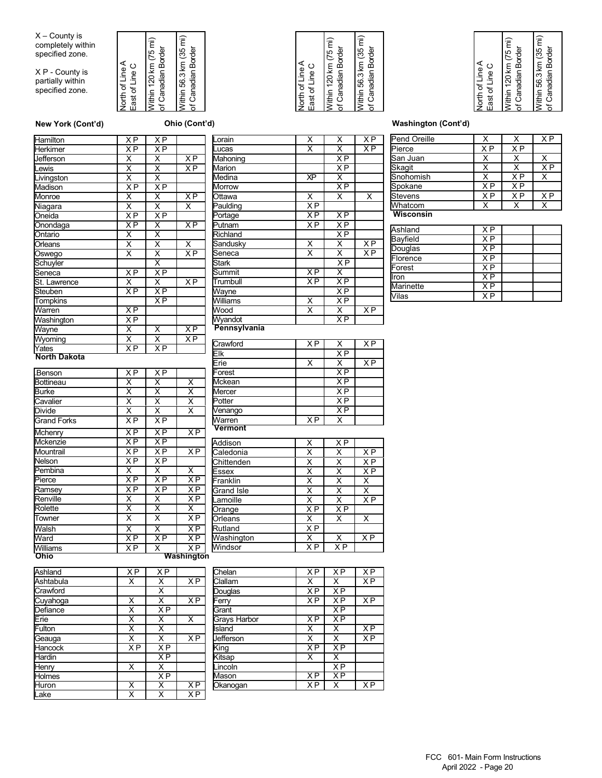X – County is completely within specified zone.

X P - County is partially within specified zone.







| Hamilton            | ΧP                      | ΧP                      |                         |
|---------------------|-------------------------|-------------------------|-------------------------|
| Herkimer            | X <sub>P</sub>          | ΧP                      |                         |
| Jefferson           | X                       | $\overline{\mathsf{X}}$ | $X$ P                   |
| Lewis               | $\overline{\mathsf{x}}$ | $\overline{\mathsf{x}}$ | $X$ P                   |
| Livingston          | $\overline{\mathsf{x}}$ | $\overline{\mathsf{x}}$ |                         |
| Madison             | ΧP                      | X <sub>P</sub>          |                         |
| Monroe              | Χ                       | $\overline{\mathsf{x}}$ | $X\overline{P}$         |
| Niagara             | $\overline{\mathsf{x}}$ | $\overline{\mathsf{x}}$ | X                       |
| Oneida              | X <sub>P</sub>          | XP                      |                         |
| Onondaga            | $\overline{XP}$         | Χ                       | $\overline{XP}$         |
| Ontario             | Χ                       | Χ                       |                         |
| Orleans             | $\overline{\mathsf{x}}$ | $\overline{\mathsf{x}}$ | $\overline{\mathsf{x}}$ |
| Oswego              | X                       | $\overline{\mathsf{x}}$ | ΧP                      |
| Schuyler            |                         | χ                       |                         |
| Seneca              | $X$ P                   | X P                     |                         |
| St. Lawrence        | X                       | $\overline{\mathsf{x}}$ | X <sub>P</sub>          |
| Steuben             | $\overline{XP}$         | XP                      |                         |
| <b>Tompkins</b>     |                         | ΧP                      |                         |
| Warren              | XP                      |                         |                         |
| Washington          | $\overline{XP}$         |                         |                         |
| Wayne               | $\overline{\mathsf{x}}$ | $\overline{\mathsf{x}}$ | XP                      |
| Wyoming             | $\overline{\mathsf{x}}$ | $\overline{\mathsf{x}}$ | XP                      |
| Yates               | $\overline{XP}$         | ΧP                      |                         |
| <b>North Dakota</b> |                         |                         |                         |

| <b>Benson</b>      | X <sub>P</sub>          | X <sub>P</sub>          |                         |
|--------------------|-------------------------|-------------------------|-------------------------|
| <b>Bottineau</b>   | X                       | $\overline{\mathsf{x}}$ | $\overline{\mathsf{x}}$ |
| <b>Burke</b>       | $\overline{\mathsf{x}}$ | $\overline{\mathsf{x}}$ | $\overline{\mathsf{x}}$ |
| Cavalier           | $\overline{\mathsf{x}}$ | $\overline{\mathsf{x}}$ | $\overline{\mathsf{x}}$ |
| <b>Divide</b>      | $\overline{\mathsf{x}}$ | $\overline{\mathsf{x}}$ | $\overline{\mathsf{x}}$ |
| <b>Grand Forks</b> | $\overline{XP}$         | XP                      |                         |
| Mchenry            | X <sub>P</sub>          | $X$ $\overline{P}$      | $\overline{XP}$         |
| <b>Mckenzie</b>    | XP                      | XP                      |                         |
| Mountrail          | $\overline{XP}$         | $\overline{XP}$         | $\overline{XP}$         |
| Nelson             | X <sub>P</sub>          | X <sub>P</sub>          |                         |
| Pembina            | X                       | $\overline{\mathsf{x}}$ | $\overline{\mathsf{x}}$ |
| Pierce             | X <sub>P</sub>          | X <sub>P</sub>          | X <sub>P</sub>          |
| Ramsey             | <b>XP</b>               | XP                      | $\overline{XP}$         |
| Renville           | X                       | X                       | $\overline{XP}$         |
| Rolette            | $\overline{\mathsf{x}}$ | $\overline{\mathsf{x}}$ | Χ                       |
| Towner             | $\overline{\mathsf{x}}$ | $\overline{\mathsf{x}}$ | $\overline{XP}$         |
| Walsh              | $\overline{\mathsf{x}}$ | $\overline{\mathsf{x}}$ | XP                      |
| Ward               | X <sub>P</sub>          | X <sub>P</sub>          | X <sub>P</sub>          |
| Williams           | $\overline{XP}$         | $\overline{\mathsf{x}}$ | $\overline{XP}$         |

| Ward           | ΧP                      | X P                     | ΧP                      |
|----------------|-------------------------|-------------------------|-------------------------|
| Williams       | <b>XP</b>               | X                       | $X \overline{P}$        |
| <b>Ohio</b>    |                         |                         | <b>Washington</b>       |
| Ashland        | $\overline{XP}$         | X <sub>P</sub>          |                         |
| Ashtabula      | $\overline{\mathsf{x}}$ | X                       | $\overline{XP}$         |
| Crawford       |                         | X                       |                         |
| Cuyahoga       | Χ                       | $\overline{\mathsf{x}}$ | $X$ P                   |
| Defiance       | $\overline{\mathsf{x}}$ | XP                      |                         |
| Erie           | $\overline{\mathsf{x}}$ | $\overline{\mathsf{x}}$ | $\overline{\mathsf{x}}$ |
| Fulton         | $\overline{\mathsf{x}}$ | $\overline{\mathsf{x}}$ |                         |
| Geauga         | $\overline{\mathsf{x}}$ | $\overline{\mathsf{x}}$ | $\overline{XP}$         |
| <b>Hancock</b> | XP                      | <b>XP</b>               |                         |
| Hardin         |                         | $\overline{XP}$         |                         |
| Henry          | $\overline{\mathsf{x}}$ | X                       |                         |
| <b>Holmes</b>  |                         | $\overline{XP}$         |                         |
| Huron          | Χ                       | Χ                       | ΧP                      |
| Lake           | $\overline{\mathsf{x}}$ | x                       | XP                      |
|                |                         |                         |                         |

| .orain                                                | х                       | X                       | ХP              |
|-------------------------------------------------------|-------------------------|-------------------------|-----------------|
| Lucas                                                 | Χ                       | $\overline{\mathsf{x}}$ | ΧP              |
| Mahoning                                              |                         | X <sub>P</sub>          |                 |
| Marion                                                |                         | ΧP                      |                 |
| Medina                                                | ΧP                      | X                       |                 |
| <b>Morrow</b>                                         |                         | X <sub>P</sub>          |                 |
| Ottawa                                                | $\overline{\mathsf{x}}$ | $\overline{\mathsf{x}}$ | X               |
| Paulding                                              | $\overline{XP}$         |                         |                 |
| Portage                                               | ΧP                      | $\overline{XP}$         |                 |
| Putnam                                                | ΧP                      | X <sub>P</sub>          |                 |
| Richland                                              |                         | X <sub>P</sub>          |                 |
| Sandusky                                              | $\overline{\mathsf{x}}$ | X                       | $X\overline{P}$ |
| Seneca                                                | $\overline{\mathsf{x}}$ | $\overline{\mathsf{x}}$ | ΧP              |
| <b>Stark</b>                                          |                         | XP                      |                 |
| Summit                                                | ΧP                      | $\overline{\mathsf{x}}$ |                 |
| Trumbull                                              | X <sub>P</sub>          | X <sub>P</sub>          |                 |
| Wayne                                                 |                         | XP                      |                 |
| Williams                                              | $\overline{\mathsf{x}}$ | X <sub>P</sub>          |                 |
| Wood                                                  | $\overline{\mathsf{x}}$ | $\overline{\mathsf{x}}$ | ΧP              |
| Wyandot                                               |                         | ΧP                      |                 |
| Pennsylvania                                          |                         |                         |                 |
| $\overline{\phantom{0}}$<br>$\ldots$ . $\blacksquare$ | $\sqrt{2}$              | $\overline{\mathbf{v}}$ | $\sqrt{2}$      |

| Crawford | X P            |                 | ΧP  |
|----------|----------------|-----------------|-----|
| Elk      |                | X <sub>P</sub>  |     |
| Erie     | X              | X               | X P |
| Forest   |                | X <sub>P</sub>  |     |
| Mckean   |                | $X$ P           |     |
| Mercer   |                | X <sub>P</sub>  |     |
| Potter   |                | $X$ P           |     |
| Venango  |                | $\overline{XP}$ |     |
| Warren   | X <sub>P</sub> | x               |     |
| Vermont  |                |                 |     |

| Addison    | X              | X <sub>P</sub> |                |
|------------|----------------|----------------|----------------|
| Caledonia  | x              | х              | X P            |
| Chittenden | Χ              | Χ              | X P            |
| Essex      | Χ              | Χ              | X <sub>P</sub> |
| Franklin   | X              | х              | х              |
| Grand Isle | X              | Χ              | X              |
| Lamoille   | Χ              | Χ              | X <sub>P</sub> |
| Orange     | X <sub>P</sub> | ΧP             |                |
| Orleans    | Х              | x              | x              |
| Rutland    | X <sub>P</sub> |                |                |
| Washington | x              | x              | X <sub>P</sub> |
| Windsor    | ΧP             | ΧP             |                |

| Chelan              | X <sub>P</sub>  | X <sub>P</sub>  | ΧP              |
|---------------------|-----------------|-----------------|-----------------|
| Clallam             | x               | x               | X <sub>P</sub>  |
| Douglas             | $\overline{X}P$ | $\overline{XP}$ |                 |
| Ferry               | ΧP              | X <sub>P</sub>  | X <sub>P</sub>  |
| Grant               |                 | ΧP              |                 |
| <b>Grays Harbor</b> | X <sub>P</sub>  | $\overline{XP}$ |                 |
| <b>Island</b>       | x               | x               | $\overline{XP}$ |
| Jefferson           | X               | X               | X <sub>P</sub>  |
| King                | ΧP              | X <sub>P</sub>  |                 |
| Kitsap              | x               | X               |                 |
| Lincoln             |                 | $\overline{XP}$ |                 |
| Mason               | ΧP              | $\overline{XP}$ |                 |
| Okanogan            | X <sub>P</sub>  | Χ               | X <sub>P</sub>  |
|                     |                 |                 |                 |

#### **New York (Cont'd) Ohio (Cont'd) Washington (Cont'd)**

| Pend Oreille |                |                | X <sub>P</sub> |
|--------------|----------------|----------------|----------------|
| Pierce       | X <sub>P</sub> | X <sub>P</sub> |                |
| San Juan     | X              |                |                |
| Skagit       |                |                | X <sub>P</sub> |
| Snohomish    |                | X <sub>P</sub> |                |
| Spokane      | X <sub>P</sub> | X <sub>P</sub> |                |
| Stevens      | X <sub>P</sub> | X <sub>P</sub> | X <sub>P</sub> |
| Whatcom      |                |                |                |
| Wisconsin    |                |                |                |

| Ashland         | ΧP |  |
|-----------------|----|--|
| <b>Bayfield</b> | ΧP |  |
| Douglas         | ΧP |  |
| Florence        | ΧP |  |
| Forest          | ΧP |  |
| Iron            | ΧP |  |
| Marinette       | ΧP |  |
| /ilas           | xр |  |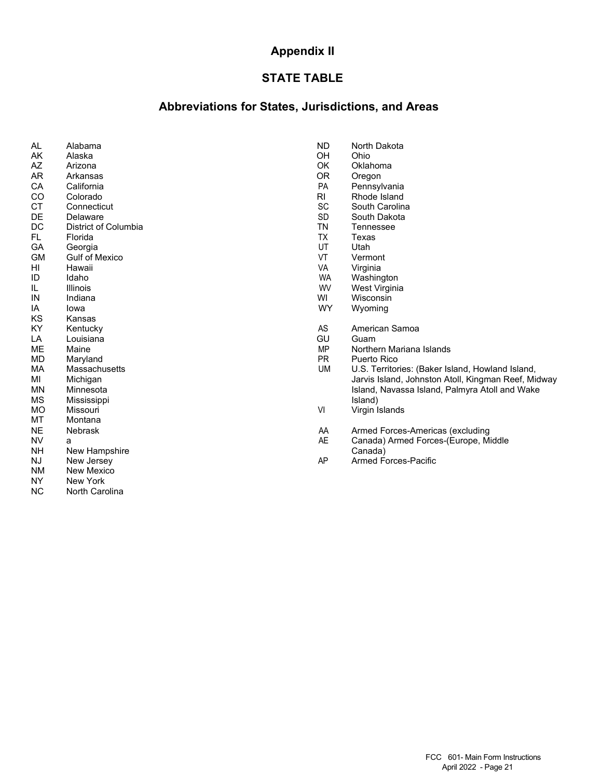# **Appendix II**

# **STATE TABLE**

## **Abbreviations for States, Jurisdictions, and Areas**

| AL        | Alabama               | <b>ND</b> | North Dako         |
|-----------|-----------------------|-----------|--------------------|
| AK        | Alaska                | <b>OH</b> | Ohio               |
| AZ        | Arizona               | OK.       | Oklahoma           |
| AR        | Arkansas              | <b>OR</b> | Oregon             |
| CA        | California            | PA        | Pennsylvar         |
| CO        | Colorado              | RI.       | Rhode Isla         |
| CT        | Connecticut           | SC        | South Card         |
| DE        | Delaware              | SD        | South Dako         |
| DC        | District of Columbia  | <b>TN</b> | Tennessee          |
| FL.       | Florida               | <b>TX</b> | Texas              |
| GA        | Georgia               | UT        | Utah               |
| <b>GM</b> | <b>Gulf of Mexico</b> | VT        | Vermont            |
| HI        | Hawaii                | VA        | Virginia           |
| ID        | Idaho                 | <b>WA</b> | Washingtor         |
| IL        | Illinois              | <b>WV</b> | <b>West Virgir</b> |
| IN        | Indiana               | WI        | Wisconsin          |
| IA        | lowa                  | <b>WY</b> | Wyoming            |
| KS        | Kansas                |           |                    |
| KY        | Kentucky              | AS        | American S         |
| LA        | Louisiana             | GU        | Guam               |
| ME        | Maine                 | <b>MP</b> | Northern M         |
| MD        | Maryland              | PR.       | Puerto Rico        |
| МA        | Massachusetts         | UM        | U.S. Territo       |
| MI        | Michigan              |           | Jarvis Islan       |
| <b>MN</b> | Minnesota             |           | Island, Nav        |
| MS        | Mississippi           |           | Island)            |
| MO        | Missouri              | VI        | Virgin Islan       |
| MT        | Montana               |           |                    |
| <b>NE</b> | <b>Nebrask</b>        | AA        | <b>Armed Ford</b>  |
| <b>NV</b> | a                     | <b>AE</b> | Canada) Aı         |
| NΗ        | New Hampshire         |           | Canada)            |
| NJ        | New Jersey            | AP        | <b>Armed Ford</b>  |
| <b>NM</b> | New Mexico            |           |                    |
| NY.       | New York              |           |                    |

NY New York<br>NC North Card North Carolina ND North Dakota<br>OH Ohio

- 
- 
- 
- PA Pennsylvania<br>RI Rhode Island
- RI Rhode Island<br>SC South Carolin
- SC South Carolina<br>SD South Dakota Delaware SD South Dakota<br>تصنيع TN Tennessee
	-
	-
	-
	-
	-
	- WA Washington<br>WV West Virginia
	- WV West Virginia<br>WI Wisconsin
	-
	- WY Wyoming
	-
	- AS American Samoa<br>GU Guam
	- MP Northern Mariana Islands<br>PR Puerto Rico
	-
	- PR Puerto Rico<br>UM U.S. Territor U.S. Territories: (Baker Island, Howland Island, Jarvis Island, Johnston Atoll, Kingman Reef, Midway Island, Navassa Island, Palmyra Atoll and Wake<br>Island)
	- VI Virgin Islands
	- AA Armed Forces-Americas (excluding
	- AE Canada) Armed Forces-(Europe, Middle
	- AP Armed Forces-Pacific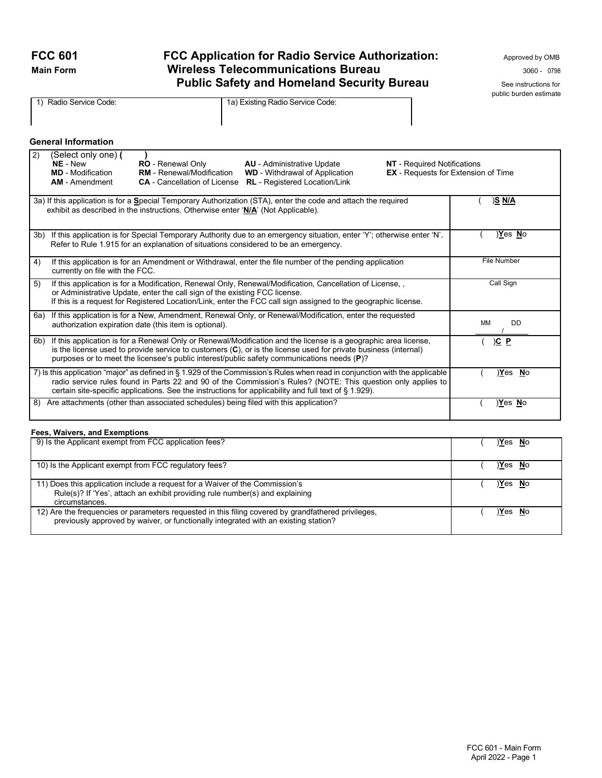# FCC 601 **FCC Application for Radio Service Authorization:** Approved by OMB **Main Form <b>Wireless Telecommunications Bureau** 3060 - 0798 **Public Safety and Homeland Security Bureau** See instructions for

public burden estimate

|     | 1) Radio Service Code:                                                               |                                                                                                     | 1a) Existing Radio Service Code:                                                                                                                                                                                                                                                                                                                        |                                    |                                            |
|-----|--------------------------------------------------------------------------------------|-----------------------------------------------------------------------------------------------------|---------------------------------------------------------------------------------------------------------------------------------------------------------------------------------------------------------------------------------------------------------------------------------------------------------------------------------------------------------|------------------------------------|--------------------------------------------|
|     | <b>General Information</b>                                                           |                                                                                                     |                                                                                                                                                                                                                                                                                                                                                         |                                    |                                            |
| 2)  | (Select only one) (<br>NE - New<br><b>MD</b> - Modification<br><b>AM</b> - Amendment | <b>RO</b> - Renewal Only<br><b>RM</b> - Renewal/Modification<br><b>CA</b> - Cancellation of License | <b>AU</b> - Administrative Update<br><b>WD</b> - Withdrawal of Application<br><b>RL</b> - Registered Location/Link                                                                                                                                                                                                                                      | <b>NT</b> - Required Notifications | <b>EX</b> - Requests for Extension of Time |
|     |                                                                                      |                                                                                                     | 3a) If this application is for a Special Temporary Authorization (STA), enter the code and attach the required<br>exhibit as described in the instructions. Otherwise enter 'N/A' (Not Applicable).                                                                                                                                                     |                                    | <u>)S N/A</u>                              |
| 3b) |                                                                                      |                                                                                                     | If this application is for Special Temporary Authority due to an emergency situation, enter 'Y'; otherwise enter 'N'.<br>Refer to Rule 1.915 for an explanation of situations considered to be an emergency.                                                                                                                                            |                                    | Yes No                                     |
| 4)  | currently on file with the FCC.                                                      |                                                                                                     | If this application is for an Amendment or Withdrawal, enter the file number of the pending application                                                                                                                                                                                                                                                 |                                    | <b>File Number</b>                         |
| 5)  |                                                                                      | or Administrative Update, enter the call sign of the existing FCC license.                          | If this application is for a Modification, Renewal Only, Renewal/Modification, Cancellation of License, .<br>If this is a request for Registered Location/Link, enter the FCC call sign assigned to the geographic license.                                                                                                                             |                                    | Call Sign                                  |
|     |                                                                                      | authorization expiration date (this item is optional).                                              | 6a) If this application is for a New, Amendment, Renewal Only, or Renewal/Modification, enter the requested                                                                                                                                                                                                                                             |                                    | MM<br><b>DD</b>                            |
|     |                                                                                      |                                                                                                     | 6b) If this application is for a Renewal Only or Renewal/Modification and the license is a geographic area license,<br>is the license used to provide service to customers $(C)$ , or is the license used for private business (internal)<br>purposes or to meet the licensee's public interest/public safety communications needs (P)?                 |                                    | $\underline{)C}$ $\underline{P}$           |
|     |                                                                                      |                                                                                                     | 7) Is this application "major" as defined in § 1.929 of the Commission's Rules when read in conjunction with the applicable<br>radio service rules found in Parts 22 and 90 of the Commission's Rules? (NOTE: This question only applies to<br>certain site-specific applications. See the instructions for applicability and full text of $\S$ 1.929). |                                    | Yes No                                     |
| 8)  |                                                                                      |                                                                                                     | Are attachments (other than associated schedules) being filed with this application?                                                                                                                                                                                                                                                                    |                                    | Yes No                                     |

#### **Fees, Waivers, and Exemptions**

| 9) Is the Applicant exempt from FCC application fees?                                                                                                                                      | Yes No        |
|--------------------------------------------------------------------------------------------------------------------------------------------------------------------------------------------|---------------|
| 10) Is the Applicant exempt from FCC regulatory fees?                                                                                                                                      | Yes No        |
| 11) Does this application include a request for a Waiver of the Commission's<br>Rule(s)? If 'Yes', attach an exhibit providing rule number(s) and explaining<br>circumstances.             | Yes No        |
| 12) Are the frequencies or parameters requested in this filing covered by grandfathered privileges,<br>previously approved by waiver, or functionally integrated with an existing station? | <u>Yes No</u> |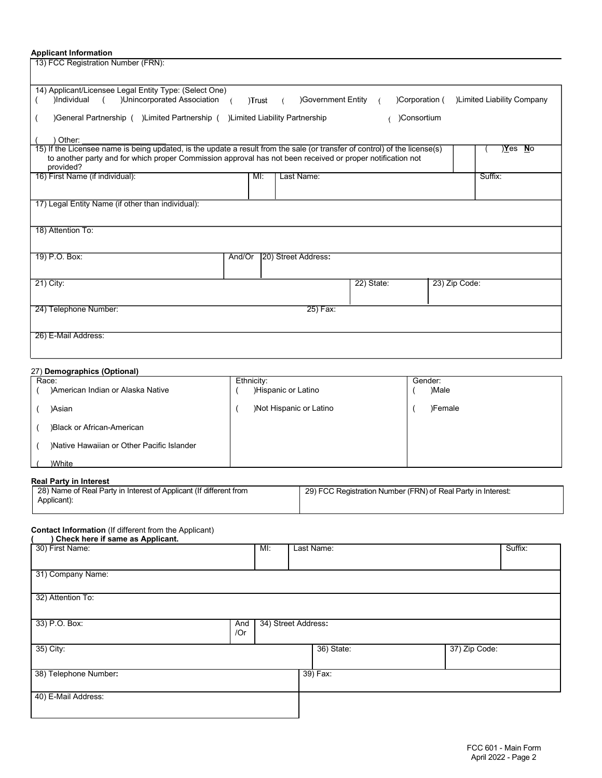#### **Applicant Information**

13) FCC Registration Number (FRN):

| 14) Applicant/Licensee Legal Entity Type: (Select One)                                                                                                                                                                                                |                              |               |                           |
|-------------------------------------------------------------------------------------------------------------------------------------------------------------------------------------------------------------------------------------------------------|------------------------------|---------------|---------------------------|
| )Unincorporated Association<br>)Individual<br>$\sqrt{2}$                                                                                                                                                                                              | Government Entity<br>)Trust  | Corporation ( | Limited Liability Company |
| )General Partnership ( )Limited Partnership ( )Limited Liability Partnership                                                                                                                                                                          |                              | )Consortium   |                           |
| Other:                                                                                                                                                                                                                                                |                              |               |                           |
| 15) If the Licensee name is being updated, is the update a result from the sale (or transfer of control) of the license(s)<br>to another party and for which proper Commission approval has not been received or proper notification not<br>provided? |                              |               | Yes)<br>No                |
| 16) First Name (if individual):                                                                                                                                                                                                                       | M <sub>1</sub><br>Last Name: |               | Suffix:                   |
| 17) Legal Entity Name (if other than individual):                                                                                                                                                                                                     |                              |               |                           |
| 18) Attention To:                                                                                                                                                                                                                                     |                              |               |                           |
| 19) P.O. Box:<br>And/Or                                                                                                                                                                                                                               | [20] Street Address:         |               |                           |
| 21) City:                                                                                                                                                                                                                                             |                              | 22) State:    | 23) Zip Code:             |
| 24) Telephone Number:                                                                                                                                                                                                                                 | 25) Fax:                     |               |                           |
| 26) E-Mail Address:                                                                                                                                                                                                                                   |                              |               |                           |

#### 27) **Demographics (Optional)**

| Race:                                      | Ethnicity:              | Gender: |
|--------------------------------------------|-------------------------|---------|
| )American Indian or Alaska Native          | )Hispanic or Latino     | )Male   |
| )Asian                                     | )Not Hispanic or Latino | )Female |
| )Black or African-American                 |                         |         |
| )Native Hawaiian or Other Pacific Islander |                         |         |
| )White                                     |                         |         |

#### **Real Party in Interest**

| $1.99411$ and $1.11111$                                                           |                                                              |  |
|-----------------------------------------------------------------------------------|--------------------------------------------------------------|--|
| 28) Name of Real Party in Interest of Applicant (If different from<br>Applicant): | 29) FCC Registration Number (FRN) of Real Party in Interest: |  |
|                                                                                   |                                                              |  |

#### **Contact Information** (If different from the Applicant)

| Check here if same as Applicant. |     |                     |            |               |         |
|----------------------------------|-----|---------------------|------------|---------------|---------|
| 30) First Name:                  |     | MI:                 | Last Name: |               | Suffix: |
|                                  |     |                     |            |               |         |
| 31) Company Name:                |     |                     |            |               |         |
| 32) Attention To:                |     |                     |            |               |         |
| 33) P.O. Box:                    | And | 34) Street Address: |            |               |         |
|                                  | /Or |                     |            |               |         |
| 35) City:                        |     |                     | 36) State: | 37) Zip Code: |         |
|                                  |     |                     |            |               |         |
| 38) Telephone Number:            |     |                     | 39) Fax:   |               |         |
|                                  |     |                     |            |               |         |
| 40) E-Mail Address:              |     |                     |            |               |         |
|                                  |     |                     |            |               |         |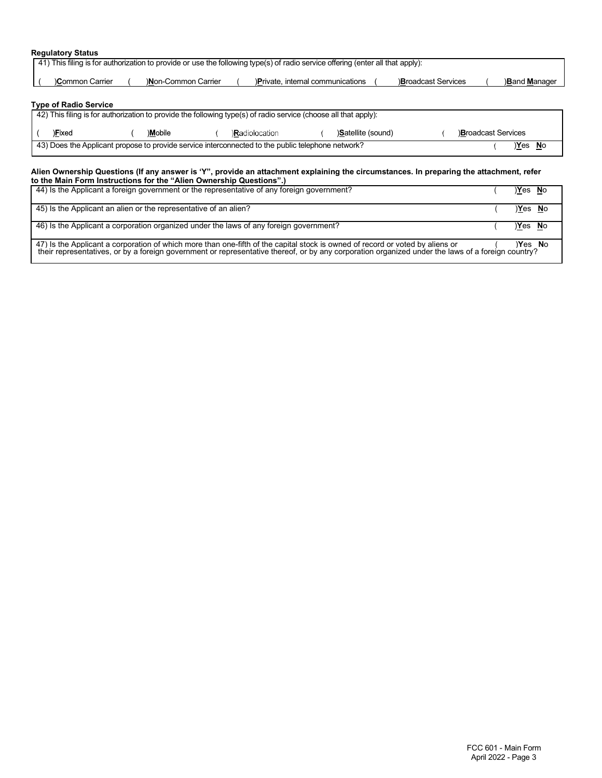#### **Regulatory Status**

| Common Carrier               | )Non-Common Carrier |         |                      |                                   |                                                                                                                                                                                                                      |  |                     |                                     |
|------------------------------|---------------------|---------|----------------------|-----------------------------------|----------------------------------------------------------------------------------------------------------------------------------------------------------------------------------------------------------------------|--|---------------------|-------------------------------------|
|                              |                     |         |                      | )Private, internal communications | <b>Broadcast Services</b>                                                                                                                                                                                            |  | <b>Band Manager</b> |                                     |
| <b>Type of Radio Service</b> |                     |         |                      |                                   |                                                                                                                                                                                                                      |  |                     |                                     |
|                              |                     |         |                      |                                   |                                                                                                                                                                                                                      |  |                     |                                     |
| )Fixed                       |                     |         |                      | <b>Satellite (sound)</b>          |                                                                                                                                                                                                                      |  |                     |                                     |
|                              |                     |         |                      |                                   |                                                                                                                                                                                                                      |  |                     |                                     |
|                              |                     | )Mobile | <b>Radiolocation</b> |                                   | 42) This filing is for authorization to provide the following type(s) of radio service (choose all that apply):<br>43) Does the Applicant propose to provide service interconnected to the public telephone network? |  |                     | <b>Broadcast Services</b><br>Yes No |

| 44) Is the Applicant a foreign government or the representative of any foreign government?                                                                                                                                                                                         | Yes No   |  |
|------------------------------------------------------------------------------------------------------------------------------------------------------------------------------------------------------------------------------------------------------------------------------------|----------|--|
| 45) Is the Applicant an alien or the representative of an alien?                                                                                                                                                                                                                   | Yes No   |  |
| 46) Is the Applicant a corporation organized under the laws of any foreign government?                                                                                                                                                                                             | $Yes$ No |  |
| 47) Is the Applicant a corporation of which more than one-fifth of the capital stock is owned of record or voted by aliens or<br>their representatives, or by a foreign government or representative thereof, or by any corporation organized under the laws of a foreign country? | $Yes$ No |  |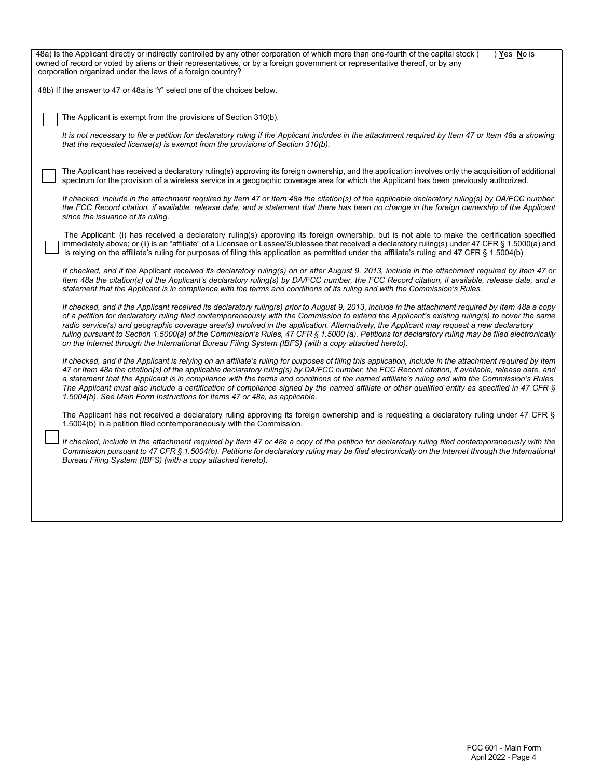| 48a) Is the Applicant directly or indirectly controlled by any other corporation of which more than one-fourth of the capital stock (<br>) Yes No is<br>owned of record or voted by aliens or their representatives, or by a foreign government or representative thereof, or by any<br>corporation organized under the laws of a foreign country?                                                                                                                                                                                                                                                                                                                                                             |
|----------------------------------------------------------------------------------------------------------------------------------------------------------------------------------------------------------------------------------------------------------------------------------------------------------------------------------------------------------------------------------------------------------------------------------------------------------------------------------------------------------------------------------------------------------------------------------------------------------------------------------------------------------------------------------------------------------------|
| 48b) If the answer to 47 or 48a is 'Y' select one of the choices below.                                                                                                                                                                                                                                                                                                                                                                                                                                                                                                                                                                                                                                        |
| The Applicant is exempt from the provisions of Section 310(b).                                                                                                                                                                                                                                                                                                                                                                                                                                                                                                                                                                                                                                                 |
| It is not necessary to file a petition for declaratory ruling if the Applicant includes in the attachment required by Item 47 or Item 48a a showing<br>that the requested license(s) is exempt from the provisions of Section 310(b).                                                                                                                                                                                                                                                                                                                                                                                                                                                                          |
| The Applicant has received a declaratory ruling(s) approving its foreign ownership, and the application involves only the acquisition of additional<br>spectrum for the provision of a wireless service in a geographic coverage area for which the Applicant has been previously authorized.                                                                                                                                                                                                                                                                                                                                                                                                                  |
| If checked, include in the attachment required by Item 47 or Item 48a the citation(s) of the applicable declaratory ruling(s) by DA/FCC number,<br>the FCC Record citation, if available, release date, and a statement that there has been no change in the foreign ownership of the Applicant<br>since the issuance of its ruling.                                                                                                                                                                                                                                                                                                                                                                           |
| The Applicant: (i) has received a declaratory ruling(s) approving its foreign ownership, but is not able to make the certification specified<br>immediately above; or (ii) is an "affiliate" of a Licensee or Lessee/Sublessee that received a declaratory ruling(s) under 47 CFR § 1.5000(a) and<br>is relying on the affiliate's ruling for purposes of filing this application as permitted under the affiliate's ruling and 47 CFR $\S$ 1.5004(b)                                                                                                                                                                                                                                                          |
| If checked, and if the Applicant received its declaratory ruling(s) on or after August 9, 2013, include in the attachment required by Item 47 or<br>Item 48a the citation(s) of the Applicant's declaratory ruling(s) by DA/FCC number, the FCC Record citation, if available, release date, and a<br>statement that the Applicant is in compliance with the terms and conditions of its ruling and with the Commission's Rules.                                                                                                                                                                                                                                                                               |
| If checked, and if the Applicant received its declaratory ruling(s) prior to August 9, 2013, include in the attachment required by Item 48a a copy<br>of a petition for declaratory ruling filed contemporaneously with the Commission to extend the Applicant's existing ruling(s) to cover the same<br>radio service(s) and geographic coverage area(s) involved in the application. Alternatively, the Applicant may request a new declaratory<br>ruling pursuant to Section 1.5000(a) of the Commission's Rules, 47 CFR § 1.5000 (a). Petitions for declaratory ruling may be filed electronically<br>on the Internet through the International Bureau Filing System (IBFS) (with a copy attached hereto). |
| If checked, and if the Applicant is relying on an affiliate's ruling for purposes of filing this application, include in the attachment required by Item<br>47 or Item 48a the citation(s) of the applicable declaratory ruling(s) by DA/FCC number, the FCC Record citation, if available, release date, and<br>a statement that the Applicant is in compliance with the terms and conditions of the named affiliate's ruling and with the Commission's Rules.<br>The Applicant must also include a certification of compliance signed by the named affiliate or other qualified entity as specified in 47 CFR §<br>1.5004(b). See Main Form Instructions for Items 47 or 48a, as applicable.                 |
| The Applicant has not received a declaratory ruling approving its foreign ownership and is requesting a declaratory ruling under 47 CFR §<br>1.5004(b) in a petition filed contemporaneously with the Commission.                                                                                                                                                                                                                                                                                                                                                                                                                                                                                              |
| If checked, include in the attachment required by Item 47 or 48a a copy of the petition for declaratory ruling filed contemporaneously with the<br>Commission pursuant to 47 CFR § 1.5004(b). Petitions for declaratory ruling may be filed electronically on the Internet through the International<br>Bureau Filing System (IBFS) (with a copy attached hereto).                                                                                                                                                                                                                                                                                                                                             |
|                                                                                                                                                                                                                                                                                                                                                                                                                                                                                                                                                                                                                                                                                                                |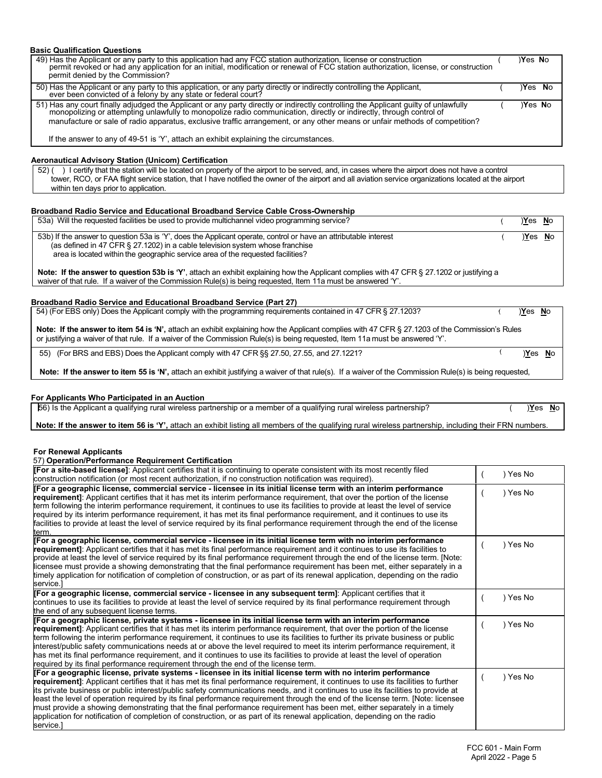| <b>Basic Qualification Questions</b>                                                                                                                                                                                                                                                          |  |        |          |  |  |
|-----------------------------------------------------------------------------------------------------------------------------------------------------------------------------------------------------------------------------------------------------------------------------------------------|--|--------|----------|--|--|
| 49) Has the Applicant or any party to this application had any FCC station authorization, license or construction<br>permit revoked or had any application for an initial, modification or renewal of FCC station authorization, license, or construction<br>permit denied by the Commission? |  | Yes No |          |  |  |
| 50) Has the Applicant or any party to this application, or any party directly or indirectly controlling the Applicant,<br>ever been convicted of a felony by any state or federal court?                                                                                                      |  | Yes No |          |  |  |
| 51) Has any court finally adjudged the Applicant or any party directly or indirectly controlling the Applicant quilty of unlawfully<br>monopolizing or attempting unlawfully to monopolize radio communication, directly or indirectly, through control of                                    |  | Yes No |          |  |  |
| manufacture or sale of radio apparatus, exclusive traffic arrangement, or any other means or unfair methods of competition?                                                                                                                                                                   |  |        |          |  |  |
| If the answer to any of 49-51 is 'Y', attach an exhibit explaining the circumstances.                                                                                                                                                                                                         |  |        |          |  |  |
| <b>Aeronautical Advisory Station (Unicom) Certification</b>                                                                                                                                                                                                                                   |  |        |          |  |  |
| 52) () l certify that the station will be located on property of the airport to be served, and, in cases where the airport does not have a control                                                                                                                                            |  |        |          |  |  |
| tower, RCO, or FAA flight service station, that I have notified the owner of the airport and all aviation service organizations located at the airport<br>within ten days prior to application.                                                                                               |  |        |          |  |  |
|                                                                                                                                                                                                                                                                                               |  |        |          |  |  |
| Broadband Radio Service and Educational Broadband Service Cable Cross-Ownership                                                                                                                                                                                                               |  |        |          |  |  |
| 53a) Will the requested facilities be used to provide multichannel video programming service?                                                                                                                                                                                                 |  | Yes No |          |  |  |
| 53b) If the answer to question 53a is 'Y', does the Applicant operate, control or have an attributable interest                                                                                                                                                                               |  |        | )Yes No  |  |  |
| (as defined in 47 CFR § 27.1202) in a cable television system whose franchise<br>area is located within the geographic service area of the requested facilities?                                                                                                                              |  |        |          |  |  |
|                                                                                                                                                                                                                                                                                               |  |        |          |  |  |
| Note: If the answer to question 53b is 'Y', attach an exhibit explaining how the Applicant complies with 47 CFR § 27.1202 or justifying a                                                                                                                                                     |  |        |          |  |  |
| waiver of that rule. If a waiver of the Commission Rule(s) is being requested, Item 11a must be answered 'Y'.                                                                                                                                                                                 |  |        |          |  |  |
| <b>Broadband Radio Service and Educational Broadband Service (Part 27)</b>                                                                                                                                                                                                                    |  |        |          |  |  |
| 54) (For EBS only) Does the Applicant comply with the programming requirements contained in 47 CFR § 27.1203?                                                                                                                                                                                 |  | Yes No |          |  |  |
|                                                                                                                                                                                                                                                                                               |  |        |          |  |  |
| Note: If the answer to item 54 is 'N', attach an exhibit explaining how the Applicant complies with 47 CFR § 27.1203 of the Commission's Rules<br>or justifying a waiver of that rule. If a waiver of the Commission Rule(s) is being requested, Item 11a must be answered 'Y'.               |  |        |          |  |  |
| 55) (For BRS and EBS) Does the Applicant comply with 47 CFR §§ 27.50, 27.55, and 27.1221?                                                                                                                                                                                                     |  |        | $Yes$ No |  |  |
| Note: If the answer to item 55 is 'N', attach an exhibit justifying a waiver of that rule(s). If a waiver of the Commission Rule(s) is being requested,                                                                                                                                       |  |        |          |  |  |

#### **For Applicants Who Participated in an Auction**

| ; the Applicant a<br>юő<br>quall | s partnership <sup>.</sup><br>alifvino<br>ural<br>wireless<br>rural wireless partners<br>'nıp<br>winc<br>membe ا<br>Ωľ<br>⊣<br><b>U</b><br>. | Yes <sup></sup> | <b>NC</b> |
|----------------------------------|----------------------------------------------------------------------------------------------------------------------------------------------|-----------------|-----------|
|                                  |                                                                                                                                              |                 |           |

**Note: If the answer to item 56 is 'Y',** attach an exhibit listing all members of the qualifying rural wireless partnership, including their FRN numbers.

**For Renewal Applicants**

#### 57) **Operation/Performance Requirement Certification**

| [For a site-based license]: Applicant certifies that it is continuing to operate consistent with its most recently filed<br>construction notification (or most recent authorization, if no construction notification was required).                                                                                                                                                                                                                                                                                                                                                                                                                                                                                                                                                             | Yes No |
|-------------------------------------------------------------------------------------------------------------------------------------------------------------------------------------------------------------------------------------------------------------------------------------------------------------------------------------------------------------------------------------------------------------------------------------------------------------------------------------------------------------------------------------------------------------------------------------------------------------------------------------------------------------------------------------------------------------------------------------------------------------------------------------------------|--------|
| [For a geographic license, commercial service - licensee in its initial license term with an interim performance<br>requirement]: Applicant certifies that it has met its interim performance requirement, that over the portion of the license<br>term following the interim performance requirement, it continues to use its facilities to provide at least the level of service<br>required by its interim performance requirement, it has met its final performance requirement, and it continues to use its<br>facilities to provide at least the level of service required by its final performance requirement through the end of the license<br>term.                                                                                                                                   | Yes No |
| [For a geographic license, commercial service - licensee in its initial license term with no interim performance<br>requirement]: Applicant certifies that it has met its final performance requirement and it continues to use its facilities to<br>provide at least the level of service required by its final performance requirement through the end of the license term. [Note:<br>licensee must provide a showing demonstrating that the final performance requirement has been met, either separately in a<br>timely application for notification of completion of construction, or as part of its renewal application, depending on the radio<br>service.]                                                                                                                              | Yes No |
| [For a geographic license, commercial service - licensee in any subsequent term]: Applicant certifies that it<br>continues to use its facilities to provide at least the level of service required by its final performance requirement through<br>the end of any subsequent license terms.                                                                                                                                                                                                                                                                                                                                                                                                                                                                                                     | Yes No |
| [For a geographic license, private systems - licensee in its initial license term with an interim performance<br>requirement]: Applicant certifies that it has met its interim performance requirement, that over the portion of the license<br>term following the interim performance requirement, it continues to use its facilities to further its private business or public<br>interest/public safety communications needs at or above the level required to meet its interim performance requirement, it<br>has met its final performance requirement, and it continues to use its facilities to provide at least the level of operation<br>required by its final performance requirement through the end of the license term.                                                            | Yes No |
| [For a geographic license, private systems - licensee in its initial license term with no interim performance<br>requirement]: Applicant certifies that it has met its final performance requirement, it continues to use its facilities to further<br>its private business or public interest/public safety communications needs, and it continues to use its facilities to provide at<br>least the level of operation required by its final performance requirement through the end of the license term. [Note: licensee<br>must provide a showing demonstrating that the final performance requirement has been met, either separately in a timely<br>application for notification of completion of construction, or as part of its renewal application, depending on the radio<br>service.] | Yes No |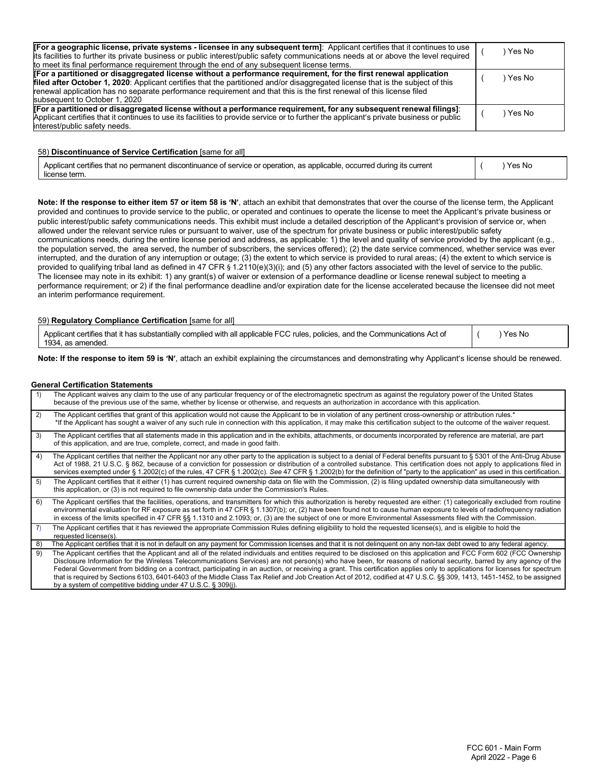| [For a geographic license, private systems - licensee in any subsequent term]: Applicant certifies that it continues to use<br>its facilities to further its private business or public interest/public safety communications needs at or above the level required<br>to meet its final performance requirement through the end of any subsequent license terms.                                           | Yes No |
|------------------------------------------------------------------------------------------------------------------------------------------------------------------------------------------------------------------------------------------------------------------------------------------------------------------------------------------------------------------------------------------------------------|--------|
| For a partitioned or disaggregated license without a performance requirement, for the first renewal application<br>filed after October 1, 2020: Applicant certifies that the partitioned and/or disaggregated license that is the subject of this<br>renewal application has no separate performance requirement and that this is the first renewal of this license filed<br>subsequent to October 1, 2020 | Yes No |
| [For a partitioned or disaggregated license without a performance requirement, for any subsequent renewal filings]:<br>Applicant certifies that it continues to use its facilities to provide service or to further the applicant's private business or public<br>interest/public safety needs.                                                                                                            | Yes No |

58) **Discontinuance of Service Certification** [same for all]

| Applicant certifies that no permanent discontinuance of service or operation, as applicable, occurred during its current | Yes No |
|--------------------------------------------------------------------------------------------------------------------------|--------|
| license term.                                                                                                            |        |

**Note: If the response to either item 57 or item 58 is 'N'**, attach an exhibit that demonstrates that over the course of the license term, the Applicant provided and continues to provide service to the public, or operated and continues to operate the license to meet the Applicant's private business or public interest/public safety communications needs. This exhibit must include a detailed description of the Applicant's provision of service or, when allowed under the relevant service rules or pursuant to waiver, use of the spectrum for private business or public interest/public safety communications needs, during the entire license period and address, as applicable: 1) the level and quality of service provided by the applicant (e.g., the population served, the area served, the number of subscribers, the services offered); (2) the date service commenced, whether service was ever interrupted, and the duration of any interruption or outage; (3) the extent to which service is provided to rural areas; (4) the extent to which service is provided to qualifying tribal land as defined in 47 CFR § 1.2110(e)(3)(i); and (5) any other factors associated with the level of service to the public. The licensee may note in its exhibit: 1) any grant(s) of waiver or extension of a performance deadline or license renewal subject to meeting a performance requirement; or 2) if the final performance deadline and/or expiration date for the license accelerated because the licensee did not meet an interim performance requirement.

**Note: If the response to item 59 is 'N'**, attach an exhibit explaining the circumstances and demonstrating why Applicant's license should be renewed.

#### **General Certification Statements**

|          | The Applicant waives any claim to the use of any particular frequency or of the electromagnetic spectrum as against the regulatory power of the United States<br>because of the previous use of the same, whether by license or otherwise, and requests an authorization in accordance with this application.                                                                                                                                                                                                                                                                                                                                                                                                                                                            |
|----------|--------------------------------------------------------------------------------------------------------------------------------------------------------------------------------------------------------------------------------------------------------------------------------------------------------------------------------------------------------------------------------------------------------------------------------------------------------------------------------------------------------------------------------------------------------------------------------------------------------------------------------------------------------------------------------------------------------------------------------------------------------------------------|
| 2)       | The Applicant certifies that grant of this application would not cause the Applicant to be in violation of any pertinent cross-ownership or attribution rules.*<br>*If the Applicant has sought a waiver of any such rule in connection with this application, it may make this certification subject to the outcome of the waiver request.                                                                                                                                                                                                                                                                                                                                                                                                                              |
| 3)       | The Applicant certifies that all statements made in this application and in the exhibits, attachments, or documents incorporated by reference are material, are part<br>of this application, and are true, complete, correct, and made in good faith.                                                                                                                                                                                                                                                                                                                                                                                                                                                                                                                    |
| 4)       | The Applicant certifies that neither the Applicant nor any other party to the application is subject to a denial of Federal benefits pursuant to § 5301 of the Anti-Drug Abuse<br>Act of 1988, 21 U.S.C. § 862, because of a conviction for possession or distribution of a controlled substance. This certification does not apply to applications filed in<br>services exempted under § 1.2002(c) of the rules, 47 CFR § 1.2002(c). See 47 CFR § 1.2002(b) for the definition of "party to the application" as used in this certification.                                                                                                                                                                                                                             |
| 5)       | The Applicant certifies that it either (1) has current required ownership data on file with the Commission, (2) is filing updated ownership data simultaneously with<br>this application, or (3) is not required to file ownership data under the Commission's Rules.                                                                                                                                                                                                                                                                                                                                                                                                                                                                                                    |
| 6)       | The Applicant certifies that the facilities, operations, and transmitters for which this authorization is hereby requested are either: (1) categorically excluded from routine<br>environmental evaluation for RF exposure as set forth in 47 CFR § 1.1307(b); or, (2) have been found not to cause human exposure to levels of radiofrequency radiation<br>in excess of the limits specified in 47 CFR §§ 1.1310 and 2.1093; or, (3) are the subject of one or more Environmental Assessments filed with the Commission.                                                                                                                                                                                                                                                |
| <b>7</b> | The Applicant certifies that it has reviewed the appropriate Commission Rules defining eligibility to hold the requested license(s), and is eligible to hold the<br>requested license(s).                                                                                                                                                                                                                                                                                                                                                                                                                                                                                                                                                                                |
| 8)       | The Applicant certifies that it is not in default on any payment for Commission licenses and that it is not delinguent on any non-tax debt owed to any federal agency.                                                                                                                                                                                                                                                                                                                                                                                                                                                                                                                                                                                                   |
| 9)       | The Applicant certifies that the Applicant and all of the related individuals and entities required to be disclosed on this application and FCC Form 602 (FCC Ownership<br>Disclosure Information for the Wireless Telecommunications Services) are not person(s) who have been, for reasons of national security, barred by any agency of the<br>Federal Government from bidding on a contract, participating in an auction, or receiving a grant. This certification applies only to applications for licenses for spectrum<br>that is required by Sections 6103, 6401-6403 of the Middle Class Tax Relief and Job Creation Act of 2012, codified at 47 U.S.C. §§ 309, 1413, 1451-1452, to be assigned<br>by a system of competitive bidding under 47 U.S.C. § 309(j). |